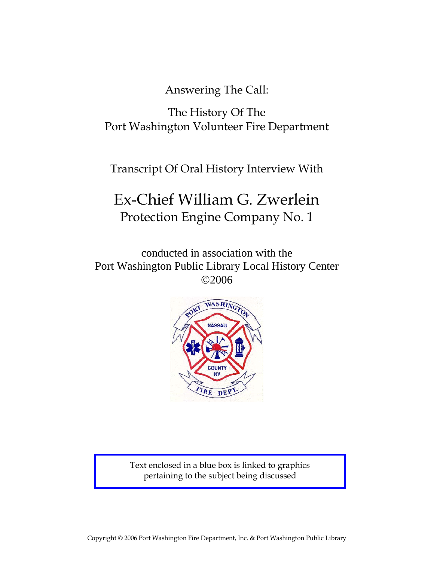Answering The Call:

The History Of The Port Washington Volunteer Fire Department

Transcript Of Oral History Interview With

# Ex-Chief William G. Zwerlein Protection Engine Company No. 1

conducted in association with the Port Washington Public Library Local History Center ©2006



Text enclosed in a blue box is linked to graphics pertaining to the subject being discussed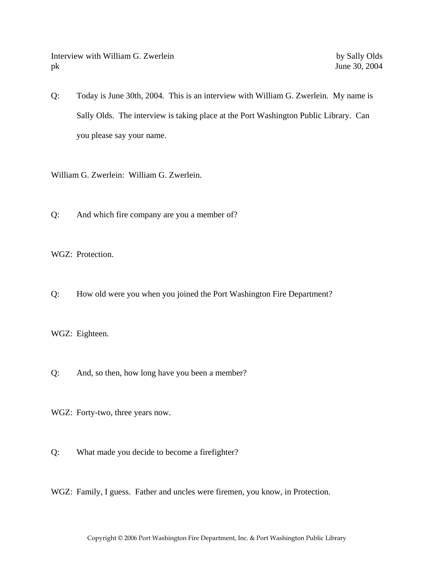Interview with William G. Zwerlein by Sally Olds pk June 30, 2004

Q: Today is June 30th, 2004. This is an interview with William G. Zwerlein. My name is Sally Olds. The interview is taking place at the Port Washington Public Library. Can you please say your name.

William G. Zwerlein: William G. Zwerlein.

Q: And which fire company are you a member of?

WGZ: Protection.

Q: How old were you when you joined the Port Washington Fire Department?

WGZ: Eighteen.

Q: And, so then, how long have you been a member?

WGZ: Forty-two, three years now.

- Q: What made you decide to become a firefighter?
- WGZ: Family, I guess. Father and uncles were firemen, you know, in Protection.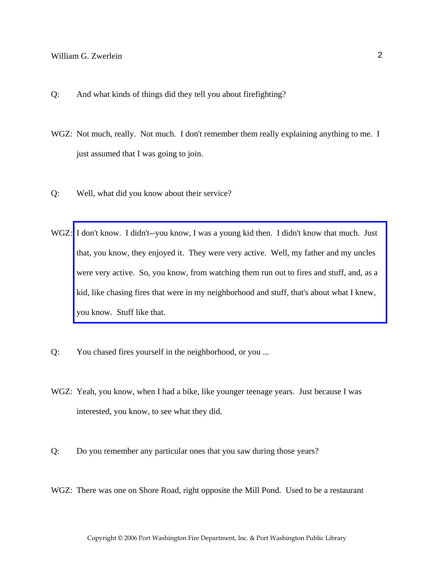- Q: And what kinds of things did they tell you about firefighting?
- WGZ: Not much, really. Not much. I don't remember them really explaining anything to me. I just assumed that I was going to join.
- Q: Well, what did you know about their service?
- WGZ: [I don't know. I didn't--you know, I was a young kid then. I didn't know that much. Just](http://www.pwfdhistory.com/trans/zwerleinwg_trans/pwfd_chiefs006_web.jpg)  that, you know, they enjoyed it. They were very active. Well, my father and my uncles were very active. So, you know, from watching them run out to fires and stuff, and, as a kid, like chasing fires that were in my neighborhood and stuff, that's about what I knew, you know. Stuff like that.
- Q: You chased fires yourself in the neighborhood, or you ...
- WGZ: Yeah, you know, when I had a bike, like younger teenage years. Just because I was interested, you know, to see what they did.
- Q: Do you remember any particular ones that you saw during those years?
- WGZ: There was one on Shore Road, right opposite the Mill Pond. Used to be a restaurant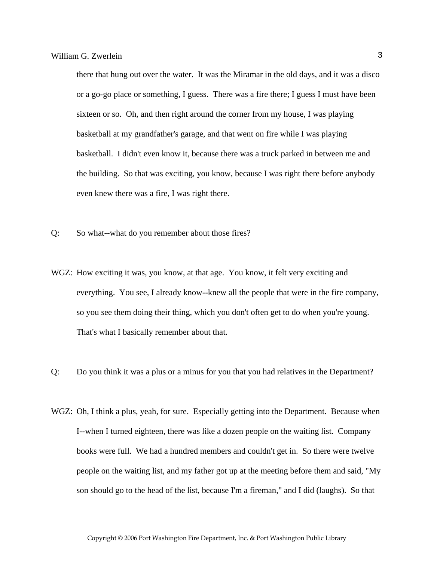there that hung out over the water. It was the Miramar in the old days, and it was a disco or a go-go place or something, I guess. There was a fire there; I guess I must have been sixteen or so. Oh, and then right around the corner from my house, I was playing basketball at my grandfather's garage, and that went on fire while I was playing basketball. I didn't even know it, because there was a truck parked in between me and the building. So that was exciting, you know, because I was right there before anybody even knew there was a fire, I was right there.

- Q: So what--what do you remember about those fires?
- WGZ: How exciting it was, you know, at that age. You know, it felt very exciting and everything. You see, I already know--knew all the people that were in the fire company, so you see them doing their thing, which you don't often get to do when you're young. That's what I basically remember about that.
- Q: Do you think it was a plus or a minus for you that you had relatives in the Department?
- WGZ: Oh, I think a plus, yeah, for sure. Especially getting into the Department. Because when I--when I turned eighteen, there was like a dozen people on the waiting list. Company books were full. We had a hundred members and couldn't get in. So there were twelve people on the waiting list, and my father got up at the meeting before them and said, "My son should go to the head of the list, because I'm a fireman," and I did (laughs). So that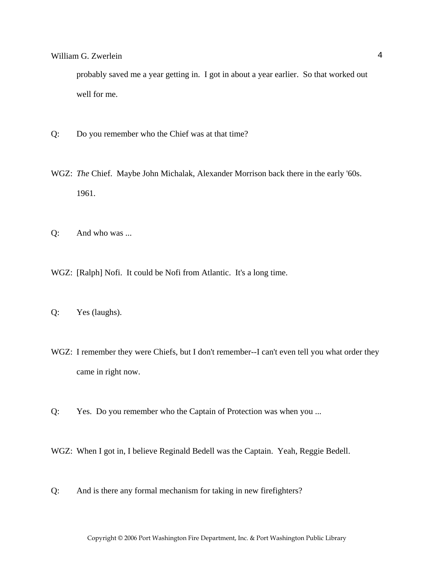probably saved me a year getting in. I got in about a year earlier. So that worked out well for me.

- Q: Do you remember who the Chief was at that time?
- WGZ: *The* Chief. Maybe John Michalak, Alexander Morrison back there in the early '60s. 1961.
- Q: And who was ...
- WGZ: [Ralph] Nofi. It could be Nofi from Atlantic. It's a long time.
- Q: Yes (laughs).
- WGZ: I remember they were Chiefs, but I don't remember--I can't even tell you what order they came in right now.
- Q: Yes. Do you remember who the Captain of Protection was when you ...
- WGZ: When I got in, I believe Reginald Bedell was the Captain. Yeah, Reggie Bedell.
- Q: And is there any formal mechanism for taking in new firefighters?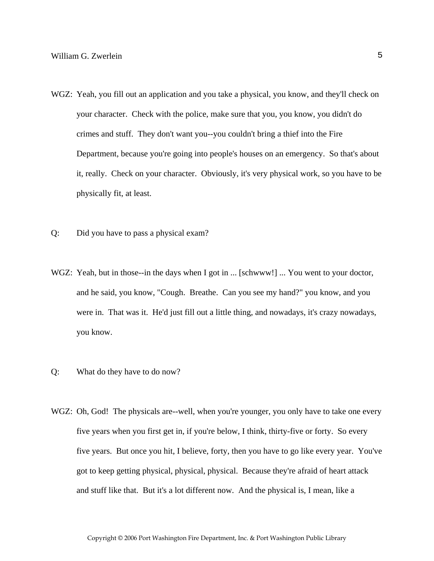- WGZ: Yeah, you fill out an application and you take a physical, you know, and they'll check on your character. Check with the police, make sure that you, you know, you didn't do crimes and stuff. They don't want you--you couldn't bring a thief into the Fire Department, because you're going into people's houses on an emergency. So that's about it, really. Check on your character. Obviously, it's very physical work, so you have to be physically fit, at least.
- Q: Did you have to pass a physical exam?
- WGZ: Yeah, but in those--in the days when I got in ... [schwww!] ... You went to your doctor, and he said, you know, "Cough. Breathe. Can you see my hand?" you know, and you were in. That was it. He'd just fill out a little thing, and nowadays, it's crazy nowadays, you know.
- Q: What do they have to do now?
- WGZ: Oh, God! The physicals are--well, when you're younger, you only have to take one every five years when you first get in, if you're below, I think, thirty-five or forty. So every five years. But once you hit, I believe, forty, then you have to go like every year. You've got to keep getting physical, physical, physical. Because they're afraid of heart attack and stuff like that. But it's a lot different now. And the physical is, I mean, like a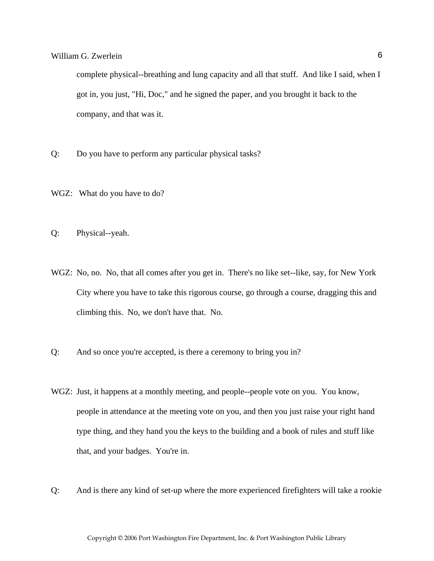complete physical--breathing and lung capacity and all that stuff. And like I said, when I got in, you just, "Hi, Doc," and he signed the paper, and you brought it back to the company, and that was it.

- Q: Do you have to perform any particular physical tasks?
- WGZ: What do you have to do?
- Q: Physical--yeah.
- WGZ: No, no. No, that all comes after you get in. There's no like set--like, say, for New York City where you have to take this rigorous course, go through a course, dragging this and climbing this. No, we don't have that. No.
- Q: And so once you're accepted, is there a ceremony to bring you in?
- WGZ: Just, it happens at a monthly meeting, and people--people vote on you. You know, people in attendance at the meeting vote on you, and then you just raise your right hand type thing, and they hand you the keys to the building and a book of rules and stuff like that, and your badges. You're in.
- Q: And is there any kind of set-up where the more experienced firefighters will take a rookie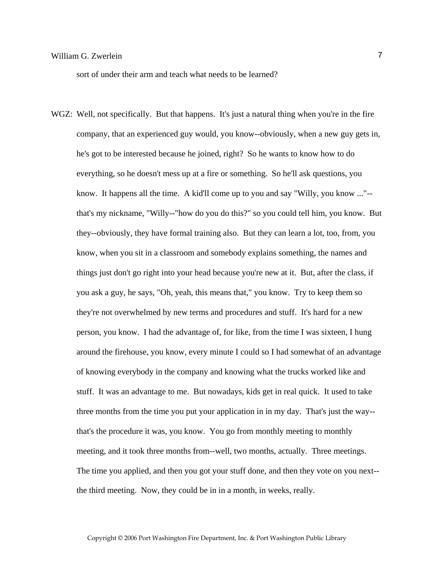sort of under their arm and teach what needs to be learned?

WGZ: Well, not specifically. But that happens. It's just a natural thing when you're in the fire company, that an experienced guy would, you know--obviously, when a new guy gets in, he's got to be interested because he joined, right? So he wants to know how to do everything, so he doesn't mess up at a fire or something. So he'll ask questions, you know. It happens all the time. A kid'll come up to you and say "Willy, you know ..."- that's my nickname, "Willy--"how do you do this?" so you could tell him, you know. But they--obviously, they have formal training also. But they can learn a lot, too, from, you know, when you sit in a classroom and somebody explains something, the names and things just don't go right into your head because you're new at it. But, after the class, if you ask a guy, he says, "Oh, yeah, this means that," you know. Try to keep them so they're not overwhelmed by new terms and procedures and stuff. It's hard for a new person, you know. I had the advantage of, for like, from the time I was sixteen, I hung around the firehouse, you know, every minute I could so I had somewhat of an advantage of knowing everybody in the company and knowing what the trucks worked like and stuff. It was an advantage to me. But nowadays, kids get in real quick. It used to take three months from the time you put your application in in my day. That's just the way- that's the procedure it was, you know. You go from monthly meeting to monthly meeting, and it took three months from--well, two months, actually. Three meetings. The time you applied, and then you got your stuff done, and then they vote on you next- the third meeting. Now, they could be in in a month, in weeks, really.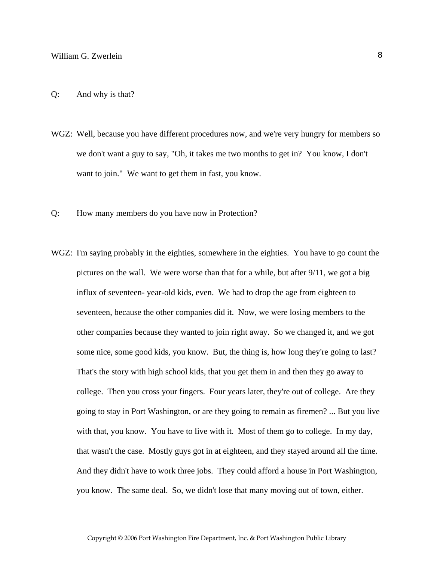- WGZ: Well, because you have different procedures now, and we're very hungry for members so we don't want a guy to say, "Oh, it takes me two months to get in? You know, I don't want to join." We want to get them in fast, you know.
- Q: How many members do you have now in Protection?
- WGZ: I'm saying probably in the eighties, somewhere in the eighties. You have to go count the pictures on the wall. We were worse than that for a while, but after 9/11, we got a big influx of seventeen- year-old kids, even. We had to drop the age from eighteen to seventeen, because the other companies did it. Now, we were losing members to the other companies because they wanted to join right away. So we changed it, and we got some nice, some good kids, you know. But, the thing is, how long they're going to last? That's the story with high school kids, that you get them in and then they go away to college. Then you cross your fingers. Four years later, they're out of college. Are they going to stay in Port Washington, or are they going to remain as firemen? ... But you live with that, you know. You have to live with it. Most of them go to college. In my day, that wasn't the case. Mostly guys got in at eighteen, and they stayed around all the time. And they didn't have to work three jobs. They could afford a house in Port Washington, you know. The same deal. So, we didn't lose that many moving out of town, either.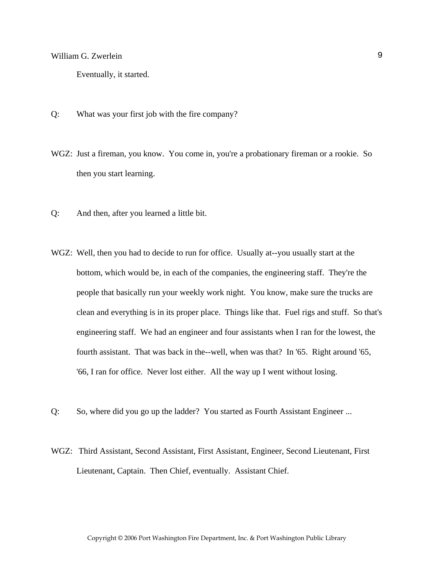Eventually, it started.

- Q: What was your first job with the fire company?
- WGZ: Just a fireman, you know. You come in, you're a probationary fireman or a rookie. So then you start learning.
- Q: And then, after you learned a little bit.
- WGZ: Well, then you had to decide to run for office. Usually at--you usually start at the bottom, which would be, in each of the companies, the engineering staff. They're the people that basically run your weekly work night. You know, make sure the trucks are clean and everything is in its proper place. Things like that. Fuel rigs and stuff. So that's engineering staff. We had an engineer and four assistants when I ran for the lowest, the fourth assistant. That was back in the--well, when was that? In '65. Right around '65, '66, I ran for office. Never lost either. All the way up I went without losing.
- Q: So, where did you go up the ladder? You started as Fourth Assistant Engineer ...
- WGZ: Third Assistant, Second Assistant, First Assistant, Engineer, Second Lieutenant, First Lieutenant, Captain. Then Chief, eventually. Assistant Chief.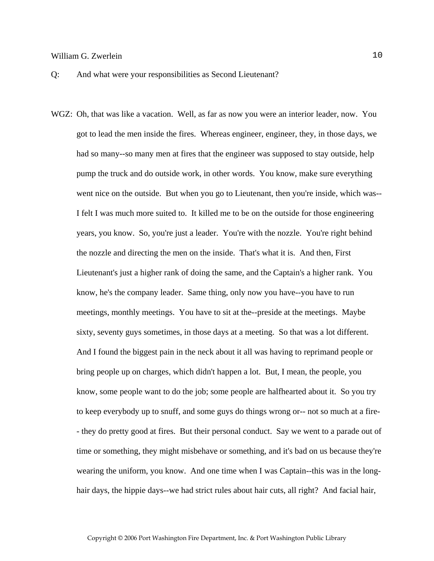Q: And what were your responsibilities as Second Lieutenant?

WGZ: Oh, that was like a vacation. Well, as far as now you were an interior leader, now. You got to lead the men inside the fires. Whereas engineer, engineer, they, in those days, we had so many--so many men at fires that the engineer was supposed to stay outside, help pump the truck and do outside work, in other words. You know, make sure everything went nice on the outside. But when you go to Lieutenant, then you're inside, which was-- I felt I was much more suited to. It killed me to be on the outside for those engineering years, you know. So, you're just a leader. You're with the nozzle. You're right behind the nozzle and directing the men on the inside. That's what it is. And then, First Lieutenant's just a higher rank of doing the same, and the Captain's a higher rank. You know, he's the company leader. Same thing, only now you have--you have to run meetings, monthly meetings. You have to sit at the--preside at the meetings. Maybe sixty, seventy guys sometimes, in those days at a meeting. So that was a lot different. And I found the biggest pain in the neck about it all was having to reprimand people or bring people up on charges, which didn't happen a lot. But, I mean, the people, you know, some people want to do the job; some people are halfhearted about it. So you try to keep everybody up to snuff, and some guys do things wrong or-- not so much at a fire- - they do pretty good at fires. But their personal conduct. Say we went to a parade out of time or something, they might misbehave or something, and it's bad on us because they're wearing the uniform, you know. And one time when I was Captain--this was in the longhair days, the hippie days--we had strict rules about hair cuts, all right? And facial hair,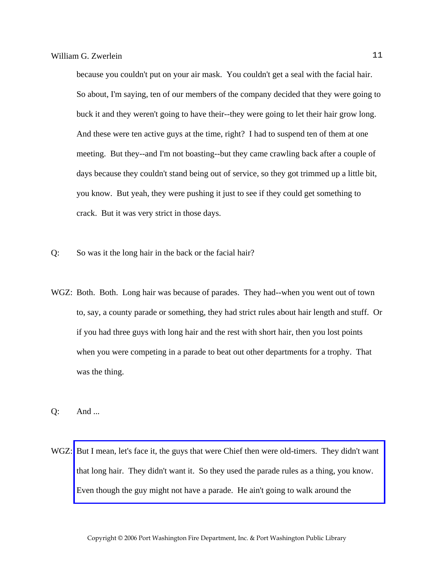because you couldn't put on your air mask. You couldn't get a seal with the facial hair. So about, I'm saying, ten of our members of the company decided that they were going to buck it and they weren't going to have their--they were going to let their hair grow long. And these were ten active guys at the time, right? I had to suspend ten of them at one meeting. But they--and I'm not boasting--but they came crawling back after a couple of days because they couldn't stand being out of service, so they got trimmed up a little bit, you know. But yeah, they were pushing it just to see if they could get something to crack. But it was very strict in those days.

- Q: So was it the long hair in the back or the facial hair?
- WGZ: Both. Both. Long hair was because of parades. They had--when you went out of town to, say, a county parade or something, they had strict rules about hair length and stuff. Or if you had three guys with long hair and the rest with short hair, then you lost points when you were competing in a parade to beat out other departments for a trophy. That was the thing.
- Q: And ...
- WGZ: [But I mean, let's face it, the guys that were Chief then were old-timers. They didn't want](http://www.pwfdhistory.com/trans/zwerleinwg_trans/news_cocks199b_web.pdf)  that long hair. They didn't want it. So they used the parade rules as a thing, you know. Even though the guy might not have a parade. He ain't going to walk around the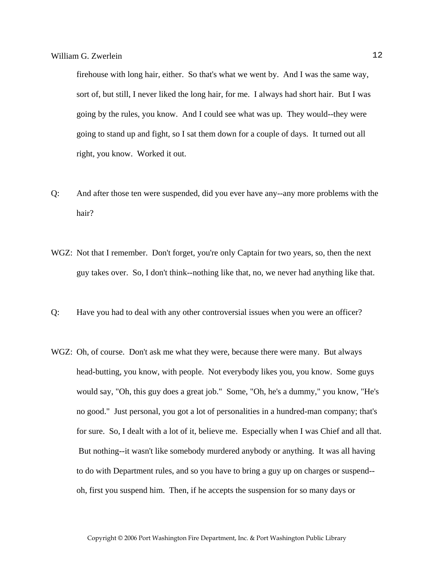firehouse with long hair, either. So that's what we went by. And I was the same way, sort of, but still, I never liked the long hair, for me. I always had short hair. But I was going by the rules, you know. And I could see what was up. They would--they were going to stand up and fight, so I sat them down for a couple of days. It turned out all right, you know. Worked it out.

- Q: And after those ten were suspended, did you ever have any--any more problems with the hair?
- WGZ: Not that I remember. Don't forget, you're only Captain for two years, so, then the next guy takes over. So, I don't think--nothing like that, no, we never had anything like that.
- Q: Have you had to deal with any other controversial issues when you were an officer?
- WGZ: Oh, of course. Don't ask me what they were, because there were many. But always head-butting, you know, with people. Not everybody likes you, you know. Some guys would say, "Oh, this guy does a great job." Some, "Oh, he's a dummy," you know, "He's no good." Just personal, you got a lot of personalities in a hundred-man company; that's for sure. So, I dealt with a lot of it, believe me. Especially when I was Chief and all that. But nothing--it wasn't like somebody murdered anybody or anything. It was all having to do with Department rules, and so you have to bring a guy up on charges or suspend- oh, first you suspend him. Then, if he accepts the suspension for so many days or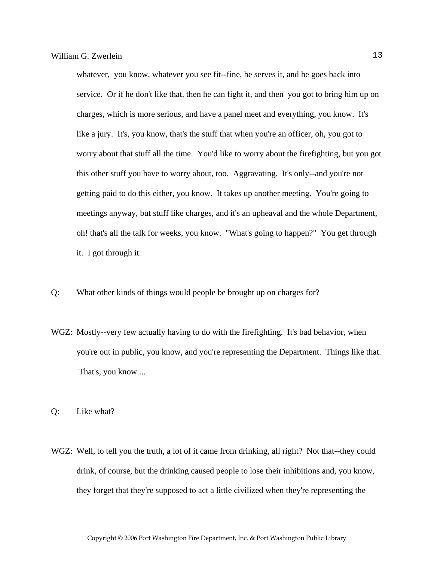whatever, you know, whatever you see fit--fine, he serves it, and he goes back into service. Or if he don't like that, then he can fight it, and then you got to bring him up on charges, which is more serious, and have a panel meet and everything, you know. It's like a jury. It's, you know, that's the stuff that when you're an officer, oh, you got to worry about that stuff all the time. You'd like to worry about the firefighting, but you got this other stuff you have to worry about, too. Aggravating. It's only--and you're not getting paid to do this either, you know. It takes up another meeting. You're going to meetings anyway, but stuff like charges, and it's an upheaval and the whole Department, oh! that's all the talk for weeks, you know. "What's going to happen?" You get through it. I got through it.

- Q: What other kinds of things would people be brought up on charges for?
- WGZ: Mostly--very few actually having to do with the firefighting. It's bad behavior, when you're out in public, you know, and you're representing the Department. Things like that. That's, you know ...
- Q: Like what?
- WGZ: Well, to tell you the truth, a lot of it came from drinking, all right? Not that--they could drink, of course, but the drinking caused people to lose their inhibitions and, you know, they forget that they're supposed to act a little civilized when they're representing the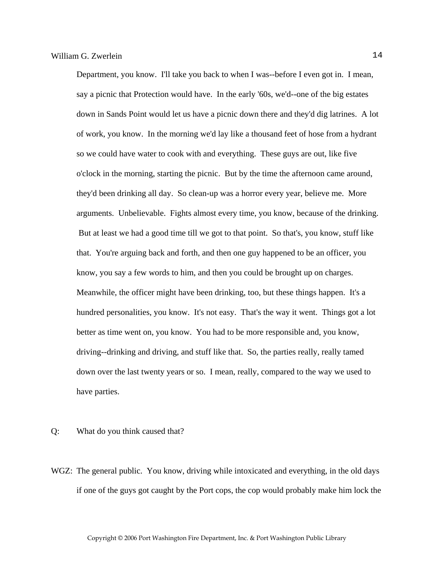Department, you know. I'll take you back to when I was--before I even got in. I mean, say a picnic that Protection would have. In the early '60s, we'd--one of the big estates down in Sands Point would let us have a picnic down there and they'd dig latrines. A lot of work, you know. In the morning we'd lay like a thousand feet of hose from a hydrant so we could have water to cook with and everything. These guys are out, like five o'clock in the morning, starting the picnic. But by the time the afternoon came around, they'd been drinking all day. So clean-up was a horror every year, believe me. More arguments. Unbelievable. Fights almost every time, you know, because of the drinking. But at least we had a good time till we got to that point. So that's, you know, stuff like that. You're arguing back and forth, and then one guy happened to be an officer, you know, you say a few words to him, and then you could be brought up on charges. Meanwhile, the officer might have been drinking, too, but these things happen. It's a hundred personalities, you know. It's not easy. That's the way it went. Things got a lot better as time went on, you know. You had to be more responsible and, you know, driving--drinking and driving, and stuff like that. So, the parties really, really tamed down over the last twenty years or so. I mean, really, compared to the way we used to have parties.

- Q: What do you think caused that?
- WGZ: The general public. You know, driving while intoxicated and everything, in the old days if one of the guys got caught by the Port cops, the cop would probably make him lock the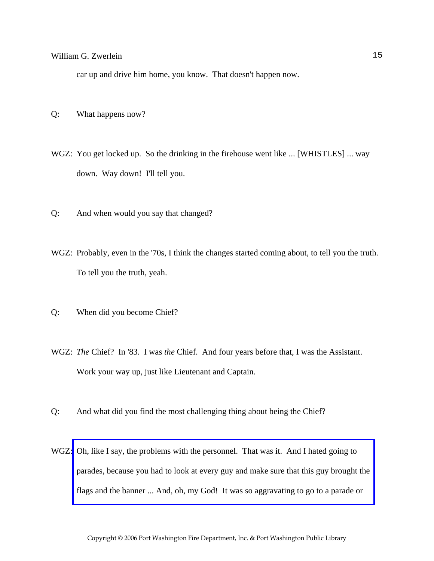car up and drive him home, you know. That doesn't happen now.

- Q: What happens now?
- WGZ: You get locked up. So the drinking in the firehouse went like ... [WHISTLES] ... way down. Way down! I'll tell you.
- Q: And when would you say that changed?
- WGZ: Probably, even in the '70s, I think the changes started coming about, to tell you the truth. To tell you the truth, yeah.
- Q: When did you become Chief?
- WGZ: *The* Chief? In '83. I was *the* Chief. And four years before that, I was the Assistant. Work your way up, just like Lieutenant and Captain.
- Q: And what did you find the most challenging thing about being the Chief?
- WGZ: Oh, like I say, the problems with the personnel. That was it. And I hated going to [parades, because you had to look at every guy and make sure that this guy brought the](http://www.pwfdhistory.com/trans/zwerleinwg_trans/peco_parades005_web.jpg)  flags and the banner ... And, oh, my God! It was so aggravating to go to a parade or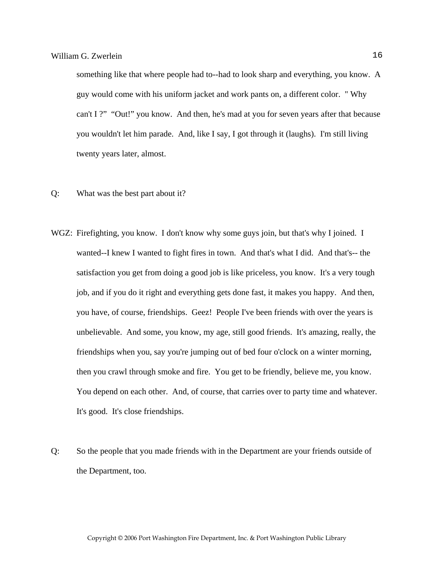something like that where people had to--had to look sharp and everything, you know. A guy would come with his uniform jacket and work pants on, a different color. " Why can't I ?" "Out!" you know. And then, he's mad at you for seven years after that because you wouldn't let him parade. And, like I say, I got through it (laughs). I'm still living twenty years later, almost.

- Q: What was the best part about it?
- WGZ: Firefighting, you know. I don't know why some guys join, but that's why I joined. I wanted--I knew I wanted to fight fires in town. And that's what I did. And that's-- the satisfaction you get from doing a good job is like priceless, you know. It's a very tough job, and if you do it right and everything gets done fast, it makes you happy. And then, you have, of course, friendships. Geez! People I've been friends with over the years is unbelievable. And some, you know, my age, still good friends. It's amazing, really, the friendships when you, say you're jumping out of bed four o'clock on a winter morning, then you crawl through smoke and fire. You get to be friendly, believe me, you know. You depend on each other. And, of course, that carries over to party time and whatever. It's good. It's close friendships.
- Q: So the people that you made friends with in the Department are your friends outside of the Department, too.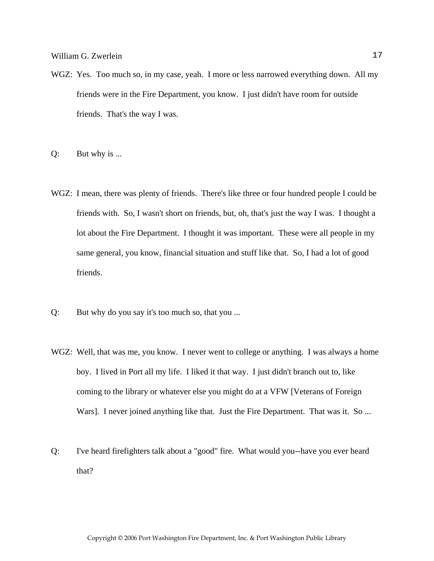- WGZ: Yes. Too much so, in my case, yeah. I more or less narrowed everything down. All my friends were in the Fire Department, you know. I just didn't have room for outside friends. That's the way I was.
- Q: But why is ...
- WGZ: I mean, there was plenty of friends. There's like three or four hundred people I could be friends with. So, I wasn't short on friends, but, oh, that's just the way I was. I thought a lot about the Fire Department. I thought it was important. These were all people in my same general, you know, financial situation and stuff like that. So, I had a lot of good friends.
- Q: But why do you say it's too much so, that you ...
- WGZ: Well, that was me, you know. I never went to college or anything. I was always a home boy. I lived in Port all my life. I liked it that way. I just didn't branch out to, like coming to the library or whatever else you might do at a VFW [Veterans of Foreign Wars]. I never joined anything like that. Just the Fire Department. That was it. So ...
- Q: I've heard firefighters talk about a "good" fire. What would you--have you ever heard that?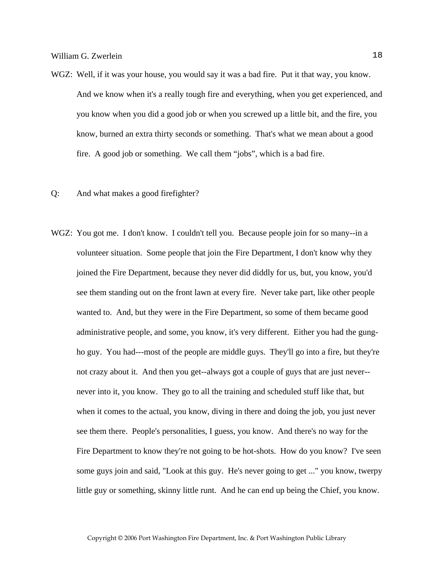- WGZ: Well, if it was your house, you would say it was a bad fire. Put it that way, you know. And we know when it's a really tough fire and everything, when you get experienced, and you know when you did a good job or when you screwed up a little bit, and the fire, you know, burned an extra thirty seconds or something. That's what we mean about a good fire. A good job or something. We call them "jobs", which is a bad fire.
- Q: And what makes a good firefighter?
- WGZ: You got me. I don't know. I couldn't tell you. Because people join for so many--in a volunteer situation. Some people that join the Fire Department, I don't know why they joined the Fire Department, because they never did diddly for us, but, you know, you'd see them standing out on the front lawn at every fire. Never take part, like other people wanted to. And, but they were in the Fire Department, so some of them became good administrative people, and some, you know, it's very different. Either you had the gungho guy. You had---most of the people are middle guys. They'll go into a fire, but they're not crazy about it. And then you get--always got a couple of guys that are just never- never into it, you know. They go to all the training and scheduled stuff like that, but when it comes to the actual, you know, diving in there and doing the job, you just never see them there. People's personalities, I guess, you know. And there's no way for the Fire Department to know they're not going to be hot-shots. How do you know? I've seen some guys join and said, "Look at this guy. He's never going to get ..." you know, twerpy little guy or something, skinny little runt. And he can end up being the Chief, you know.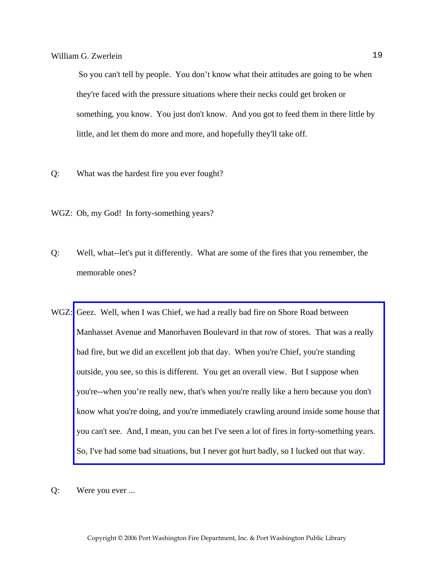So you can't tell by people. You don't know what their attitudes are going to be when they're faced with the pressure situations where their necks could get broken or something, you know. You just don't know. And you got to feed them in there little by little, and let them do more and more, and hopefully they'll take off.

- Q: What was the hardest fire you ever fought?
- WGZ: Oh, my God! In forty-something years?
- Q: Well, what--let's put it differently. What are some of the fires that you remember, the memorable ones?
- WGZ: Geez. Well, when I was Chief, we had a really bad fire on Shore Road between Manhasset Avenue and Manorhaven Boulevard in that row of stores. That was a really bad fire, but we did an excellent job that day. When you're Chief, you're standing outside, you see, so this is different. You get an overall view. But I suppose when you're--when you're really new, that's when you're really like a hero because you don't [know what you're doing, and you're immediately crawling around inside some house that](http://www.pwfdhistory.com/trans/zwerleinwg_trans/pnews_840405_hw.pdf)  you can't see. And, I mean, you can bet I've seen a lot of fires in forty-something years. So, I've had some bad situations, but I never got hurt badly, so I lucked out that way.
- Q: Were you ever ...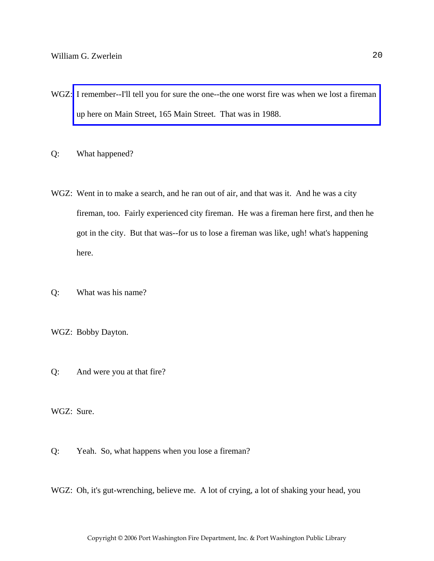- WGZ: [I remember--I'll tell you for sure the one--the one worst fire was when we lost a fireman](http://www.pwfdhistory.com/trans/zwerleinwg_trans/pnews881201_pz.pdf)  up here on Main Street, 165 Main Street. That was in 1988.
- Q: What happened?
- WGZ: Went in to make a search, and he ran out of air, and that was it. And he was a city fireman, too. Fairly experienced city fireman. He was a fireman here first, and then he got in the city. But that was--for us to lose a fireman was like, ugh! what's happening here.
- Q: What was his name?
- WGZ: Bobby Dayton.
- Q: And were you at that fire?

WGZ: Sure.

- Q: Yeah. So, what happens when you lose a fireman?
- WGZ: Oh, it's gut-wrenching, believe me. A lot of crying, a lot of shaking your head, you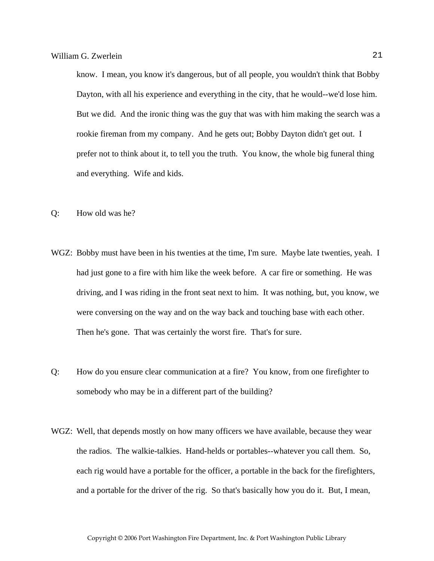know. I mean, you know it's dangerous, but of all people, you wouldn't think that Bobby Dayton, with all his experience and everything in the city, that he would--we'd lose him. But we did. And the ironic thing was the guy that was with him making the search was a rookie fireman from my company. And he gets out; Bobby Dayton didn't get out. I prefer not to think about it, to tell you the truth. You know, the whole big funeral thing and everything. Wife and kids.

- Q: How old was he?
- WGZ: Bobby must have been in his twenties at the time, I'm sure. Maybe late twenties, yeah. I had just gone to a fire with him like the week before. A car fire or something. He was driving, and I was riding in the front seat next to him. It was nothing, but, you know, we were conversing on the way and on the way back and touching base with each other. Then he's gone. That was certainly the worst fire. That's for sure.
- Q: How do you ensure clear communication at a fire? You know, from one firefighter to somebody who may be in a different part of the building?
- WGZ: Well, that depends mostly on how many officers we have available, because they wear the radios. The walkie-talkies. Hand-helds or portables--whatever you call them. So, each rig would have a portable for the officer, a portable in the back for the firefighters, and a portable for the driver of the rig. So that's basically how you do it. But, I mean,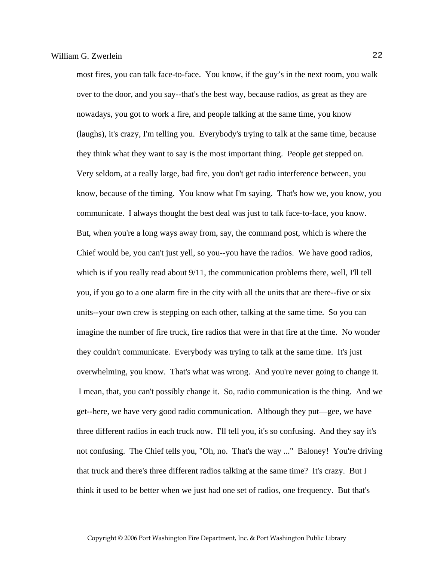most fires, you can talk face-to-face. You know, if the guy's in the next room, you walk over to the door, and you say--that's the best way, because radios, as great as they are nowadays, you got to work a fire, and people talking at the same time, you know (laughs), it's crazy, I'm telling you. Everybody's trying to talk at the same time, because they think what they want to say is the most important thing. People get stepped on. Very seldom, at a really large, bad fire, you don't get radio interference between, you know, because of the timing. You know what I'm saying. That's how we, you know, you communicate. I always thought the best deal was just to talk face-to-face, you know. But, when you're a long ways away from, say, the command post, which is where the Chief would be, you can't just yell, so you--you have the radios. We have good radios, which is if you really read about  $9/11$ , the communication problems there, well, I'll tell you, if you go to a one alarm fire in the city with all the units that are there--five or six units--your own crew is stepping on each other, talking at the same time. So you can imagine the number of fire truck, fire radios that were in that fire at the time. No wonder they couldn't communicate. Everybody was trying to talk at the same time. It's just overwhelming, you know. That's what was wrong. And you're never going to change it. I mean, that, you can't possibly change it. So, radio communication is the thing. And we get--here, we have very good radio communication. Although they put—gee, we have three different radios in each truck now. I'll tell you, it's so confusing. And they say it's not confusing. The Chief tells you, "Oh, no. That's the way ..." Baloney! You're driving that truck and there's three different radios talking at the same time? It's crazy. But I think it used to be better when we just had one set of radios, one frequency. But that's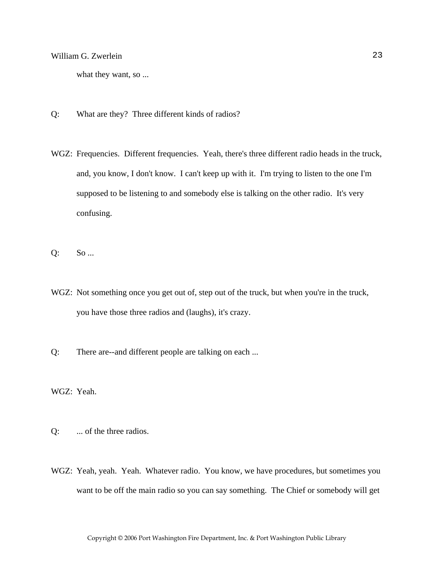what they want, so ...

- Q: What are they? Three different kinds of radios?
- WGZ: Frequencies. Different frequencies. Yeah, there's three different radio heads in the truck, and, you know, I don't know. I can't keep up with it. I'm trying to listen to the one I'm supposed to be listening to and somebody else is talking on the other radio. It's very confusing.
- Q: So ...
- WGZ: Not something once you get out of, step out of the truck, but when you're in the truck, you have those three radios and (laughs), it's crazy.
- Q: There are--and different people are talking on each ...

WGZ: Yeah.

- Q: ... of the three radios.
- WGZ: Yeah, yeah. Yeah. Whatever radio. You know, we have procedures, but sometimes you want to be off the main radio so you can say something. The Chief or somebody will get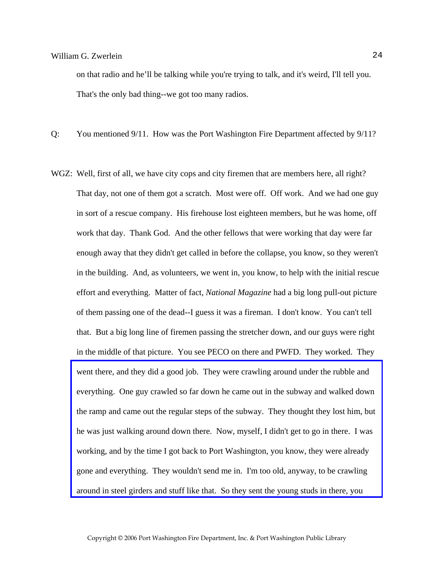on that radio and he'll be talking while you're trying to talk, and it's weird, I'll tell you. That's the only bad thing--we got too many radios.

Q: You mentioned 9/11. How was the Port Washington Fire Department affected by 9/11?

WGZ: Well, first of all, we have city cops and city firemen that are members here, all right? That day, not one of them got a scratch. Most were off. Off work. And we had one guy in sort of a rescue company. His firehouse lost eighteen members, but he was home, off work that day. Thank God. And the other fellows that were working that day were far enough away that they didn't get called in before the collapse, you know, so they weren't in the building. And, as volunteers, we went in, you know, to help with the initial rescue effort and everything. Matter of fact, *National Magazine* had a big long pull-out picture of them passing one of the dead--I guess it was a fireman. I don't know. You can't tell that. But a big long line of firemen passing the stretcher down, and our guys were right in the middle of that picture. You see PECO on there and PWFD. They worked. They went there, and they did a good job. They were crawling around under the rubble and everything. One guy crawled so far down he came out in the subway and walked down [the ramp and came out the regular steps of the subway. They thought they lost him, but](http://www.pwfdhistory.com/trans/zwerleinwg_trans/pwfd_911002_web.jpg)  he was just walking around down there. Now, myself, I didn't get to go in there. I was working, and by the time I got back to Port Washington, you know, they were already gone and everything. They wouldn't send me in. I'm too old, anyway, to be crawling around in steel girders and stuff like that. So they sent the young studs in there, you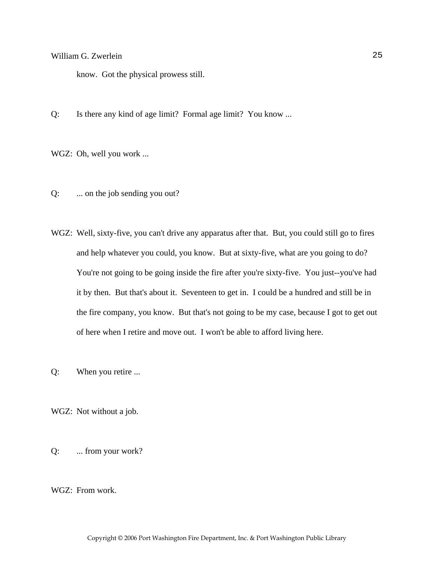know. Got the physical prowess still.

Q: Is there any kind of age limit? Formal age limit? You know ...

WGZ: Oh, well you work ...

- Q: ... on the job sending you out?
- WGZ: Well, sixty-five, you can't drive any apparatus after that. But, you could still go to fires and help whatever you could, you know. But at sixty-five, what are you going to do? You're not going to be going inside the fire after you're sixty-five. You just--you've had it by then. But that's about it. Seventeen to get in. I could be a hundred and still be in the fire company, you know. But that's not going to be my case, because I got to get out of here when I retire and move out. I won't be able to afford living here.
- Q: When you retire ...
- WGZ: Not without a job.
- Q: ... from your work?

WGZ: From work.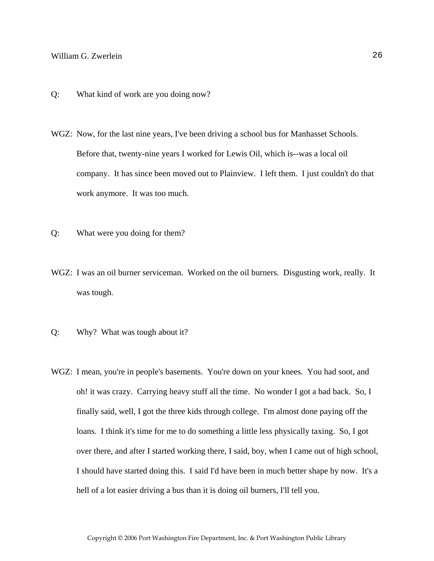- Q: What kind of work are you doing now?
- WGZ: Now, for the last nine years, I've been driving a school bus for Manhasset Schools. Before that, twenty-nine years I worked for Lewis Oil, which is--was a local oil company. It has since been moved out to Plainview. I left them. I just couldn't do that work anymore. It was too much.
- Q: What were you doing for them?
- WGZ: I was an oil burner serviceman. Worked on the oil burners. Disgusting work, really. It was tough.
- Q: Why? What was tough about it?
- WGZ: I mean, you're in people's basements. You're down on your knees. You had soot, and oh! it was crazy. Carrying heavy stuff all the time. No wonder I got a bad back. So, I finally said, well, I got the three kids through college. I'm almost done paying off the loans. I think it's time for me to do something a little less physically taxing. So, I got over there, and after I started working there, I said, boy, when I came out of high school, I should have started doing this. I said I'd have been in much better shape by now. It's a hell of a lot easier driving a bus than it is doing oil burners, I'll tell you.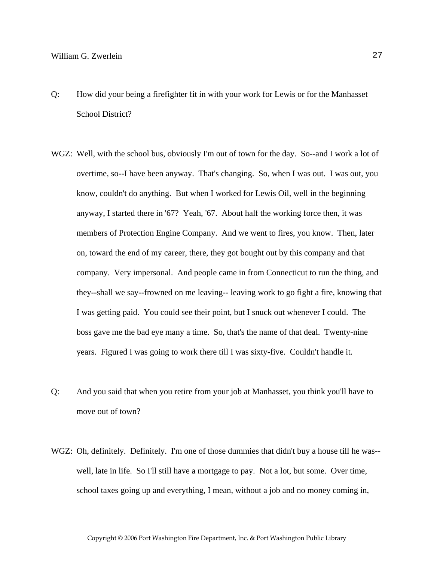- Q: How did your being a firefighter fit in with your work for Lewis or for the Manhasset School District?
- WGZ: Well, with the school bus, obviously I'm out of town for the day. So--and I work a lot of overtime, so--I have been anyway. That's changing. So, when I was out. I was out, you know, couldn't do anything. But when I worked for Lewis Oil, well in the beginning anyway, I started there in '67? Yeah, '67. About half the working force then, it was members of Protection Engine Company. And we went to fires, you know. Then, later on, toward the end of my career, there, they got bought out by this company and that company. Very impersonal. And people came in from Connecticut to run the thing, and they--shall we say--frowned on me leaving-- leaving work to go fight a fire, knowing that I was getting paid. You could see their point, but I snuck out whenever I could. The boss gave me the bad eye many a time. So, that's the name of that deal. Twenty-nine years. Figured I was going to work there till I was sixty-five. Couldn't handle it.
- Q: And you said that when you retire from your job at Manhasset, you think you'll have to move out of town?
- WGZ: Oh, definitely. Definitely. I'm one of those dummies that didn't buy a house till he was- well, late in life. So I'll still have a mortgage to pay. Not a lot, but some. Over time, school taxes going up and everything, I mean, without a job and no money coming in,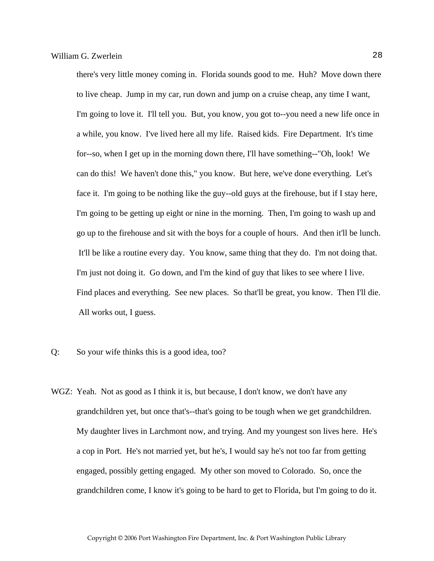there's very little money coming in. Florida sounds good to me. Huh? Move down there to live cheap. Jump in my car, run down and jump on a cruise cheap, any time I want, I'm going to love it. I'll tell you. But, you know, you got to--you need a new life once in a while, you know. I've lived here all my life. Raised kids. Fire Department. It's time for--so, when I get up in the morning down there, I'll have something--"Oh, look! We can do this! We haven't done this," you know. But here, we've done everything. Let's face it. I'm going to be nothing like the guy--old guys at the firehouse, but if I stay here, I'm going to be getting up eight or nine in the morning. Then, I'm going to wash up and go up to the firehouse and sit with the boys for a couple of hours. And then it'll be lunch. It'll be like a routine every day. You know, same thing that they do. I'm not doing that. I'm just not doing it. Go down, and I'm the kind of guy that likes to see where I live. Find places and everything. See new places. So that'll be great, you know. Then I'll die. All works out, I guess.

- Q: So your wife thinks this is a good idea, too?
- WGZ: Yeah. Not as good as I think it is, but because, I don't know, we don't have any grandchildren yet, but once that's--that's going to be tough when we get grandchildren. My daughter lives in Larchmont now, and trying. And my youngest son lives here. He's a cop in Port. He's not married yet, but he's, I would say he's not too far from getting engaged, possibly getting engaged. My other son moved to Colorado. So, once the grandchildren come, I know it's going to be hard to get to Florida, but I'm going to do it.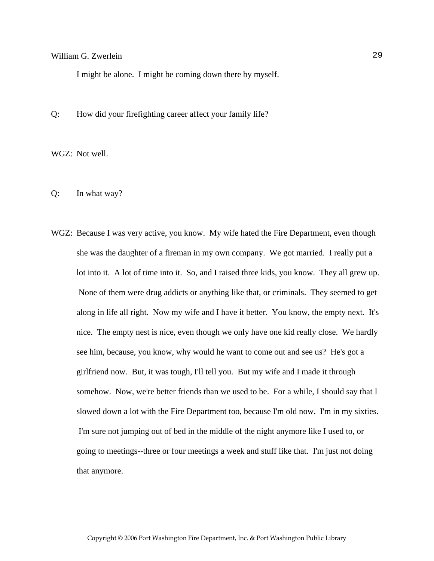I might be alone. I might be coming down there by myself.

Q: How did your firefighting career affect your family life?

WGZ: Not well.

Q: In what way?

WGZ: Because I was very active, you know. My wife hated the Fire Department, even though she was the daughter of a fireman in my own company. We got married. I really put a lot into it. A lot of time into it. So, and I raised three kids, you know. They all grew up. None of them were drug addicts or anything like that, or criminals. They seemed to get along in life all right. Now my wife and I have it better. You know, the empty next. It's nice. The empty nest is nice, even though we only have one kid really close. We hardly see him, because, you know, why would he want to come out and see us? He's got a girlfriend now. But, it was tough, I'll tell you. But my wife and I made it through somehow. Now, we're better friends than we used to be. For a while, I should say that I slowed down a lot with the Fire Department too, because I'm old now. I'm in my sixties. I'm sure not jumping out of bed in the middle of the night anymore like I used to, or going to meetings--three or four meetings a week and stuff like that. I'm just not doing that anymore.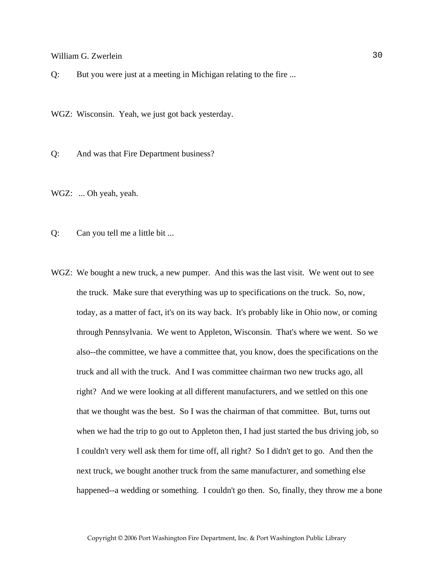Q: But you were just at a meeting in Michigan relating to the fire ...

WGZ: Wisconsin. Yeah, we just got back yesterday.

Q: And was that Fire Department business?

WGZ: ... Oh yeah, yeah.

Q: Can you tell me a little bit ...

WGZ: We bought a new truck, a new pumper. And this was the last visit. We went out to see the truck. Make sure that everything was up to specifications on the truck. So, now, today, as a matter of fact, it's on its way back. It's probably like in Ohio now, or coming through Pennsylvania. We went to Appleton, Wisconsin. That's where we went. So we also--the committee, we have a committee that, you know, does the specifications on the truck and all with the truck. And I was committee chairman two new trucks ago, all right? And we were looking at all different manufacturers, and we settled on this one that we thought was the best. So I was the chairman of that committee. But, turns out when we had the trip to go out to Appleton then, I had just started the bus driving job, so I couldn't very well ask them for time off, all right? So I didn't get to go. And then the next truck, we bought another truck from the same manufacturer, and something else happened--a wedding or something. I couldn't go then. So, finally, they throw me a bone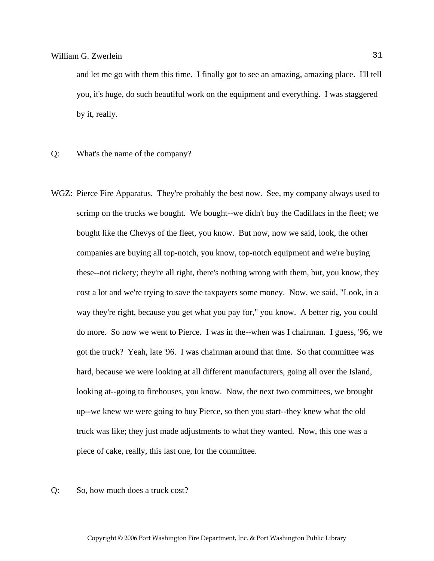and let me go with them this time. I finally got to see an amazing, amazing place. I'll tell you, it's huge, do such beautiful work on the equipment and everything. I was staggered by it, really.

- Q: What's the name of the company?
- WGZ: Pierce Fire Apparatus. They're probably the best now. See, my company always used to scrimp on the trucks we bought. We bought--we didn't buy the Cadillacs in the fleet; we bought like the Chevys of the fleet, you know. But now, now we said, look, the other companies are buying all top-notch, you know, top-notch equipment and we're buying these--not rickety; they're all right, there's nothing wrong with them, but, you know, they cost a lot and we're trying to save the taxpayers some money. Now, we said, "Look, in a way they're right, because you get what you pay for," you know. A better rig, you could do more. So now we went to Pierce. I was in the--when was I chairman. I guess, '96, we got the truck? Yeah, late '96. I was chairman around that time. So that committee was hard, because we were looking at all different manufacturers, going all over the Island, looking at--going to firehouses, you know. Now, the next two committees, we brought up--we knew we were going to buy Pierce, so then you start--they knew what the old truck was like; they just made adjustments to what they wanted. Now, this one was a piece of cake, really, this last one, for the committee.
- Q: So, how much does a truck cost?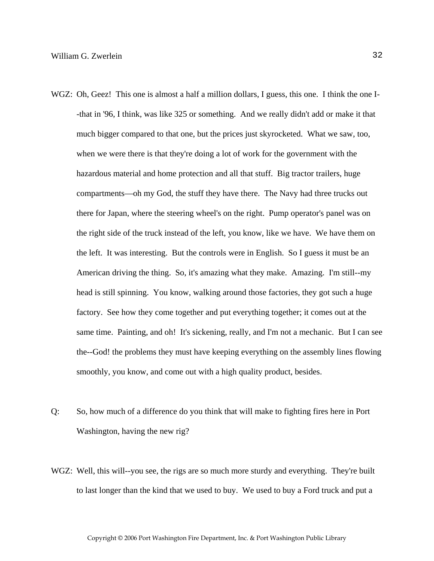- WGZ: Oh, Geez! This one is almost a half a million dollars, I guess, this one. I think the one I--that in '96, I think, was like 325 or something. And we really didn't add or make it that much bigger compared to that one, but the prices just skyrocketed. What we saw, too, when we were there is that they're doing a lot of work for the government with the hazardous material and home protection and all that stuff. Big tractor trailers, huge compartments—oh my God, the stuff they have there. The Navy had three trucks out there for Japan, where the steering wheel's on the right. Pump operator's panel was on the right side of the truck instead of the left, you know, like we have. We have them on the left. It was interesting. But the controls were in English. So I guess it must be an American driving the thing. So, it's amazing what they make. Amazing. I'm still--my head is still spinning. You know, walking around those factories, they got such a huge factory. See how they come together and put everything together; it comes out at the same time. Painting, and oh! It's sickening, really, and I'm not a mechanic. But I can see the--God! the problems they must have keeping everything on the assembly lines flowing smoothly, you know, and come out with a high quality product, besides.
- Q: So, how much of a difference do you think that will make to fighting fires here in Port Washington, having the new rig?
- WGZ: Well, this will--you see, the rigs are so much more sturdy and everything. They're built to last longer than the kind that we used to buy. We used to buy a Ford truck and put a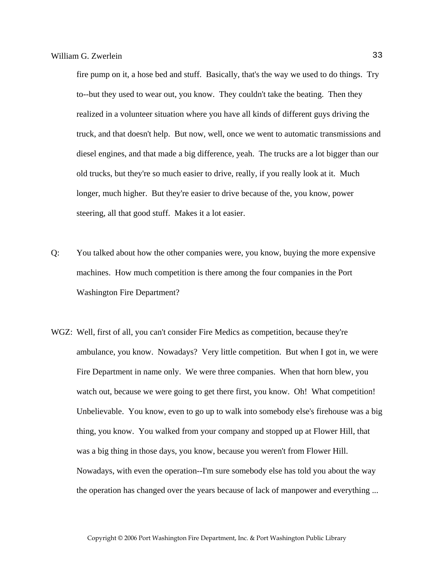fire pump on it, a hose bed and stuff. Basically, that's the way we used to do things. Try to--but they used to wear out, you know. They couldn't take the beating. Then they realized in a volunteer situation where you have all kinds of different guys driving the truck, and that doesn't help. But now, well, once we went to automatic transmissions and diesel engines, and that made a big difference, yeah. The trucks are a lot bigger than our old trucks, but they're so much easier to drive, really, if you really look at it. Much longer, much higher. But they're easier to drive because of the, you know, power steering, all that good stuff. Makes it a lot easier.

- Q: You talked about how the other companies were, you know, buying the more expensive machines. How much competition is there among the four companies in the Port Washington Fire Department?
- WGZ: Well, first of all, you can't consider Fire Medics as competition, because they're ambulance, you know. Nowadays? Very little competition. But when I got in, we were Fire Department in name only. We were three companies. When that horn blew, you watch out, because we were going to get there first, you know. Oh! What competition! Unbelievable. You know, even to go up to walk into somebody else's firehouse was a big thing, you know. You walked from your company and stopped up at Flower Hill, that was a big thing in those days, you know, because you weren't from Flower Hill. Nowadays, with even the operation--I'm sure somebody else has told you about the way the operation has changed over the years because of lack of manpower and everything ...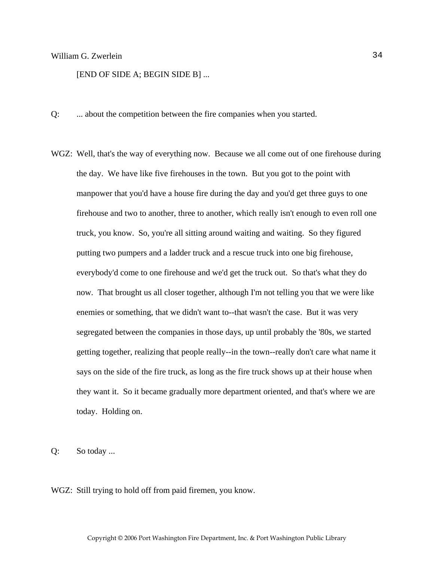[END OF SIDE A; BEGIN SIDE B] ...

- Q: ... about the competition between the fire companies when you started.
- WGZ: Well, that's the way of everything now. Because we all come out of one firehouse during the day. We have like five firehouses in the town. But you got to the point with manpower that you'd have a house fire during the day and you'd get three guys to one firehouse and two to another, three to another, which really isn't enough to even roll one truck, you know. So, you're all sitting around waiting and waiting. So they figured putting two pumpers and a ladder truck and a rescue truck into one big firehouse, everybody'd come to one firehouse and we'd get the truck out. So that's what they do now. That brought us all closer together, although I'm not telling you that we were like enemies or something, that we didn't want to--that wasn't the case. But it was very segregated between the companies in those days, up until probably the '80s, we started getting together, realizing that people really--in the town--really don't care what name it says on the side of the fire truck, as long as the fire truck shows up at their house when they want it. So it became gradually more department oriented, and that's where we are today. Holding on.

Q: So today ...

WGZ: Still trying to hold off from paid firemen, you know.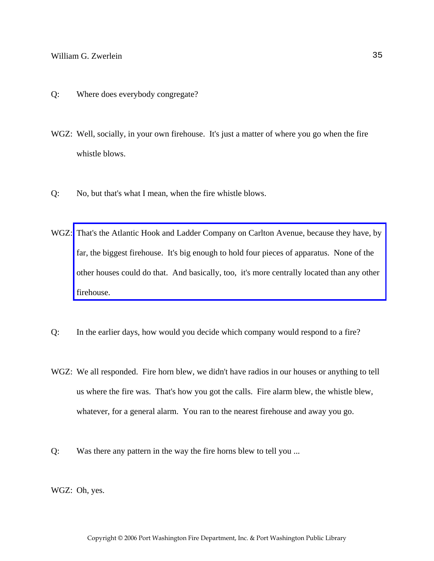- Q: Where does everybody congregate?
- WGZ: Well, socially, in your own firehouse. It's just a matter of where you go when the fire whistle blows.
- Q: No, but that's what I mean, when the fire whistle blows.
- WGZ: [That's the Atlantic Hook and Ladder Company on Carlton Avenue, because they have, by](http://www.pwfdhistory.com/trans/zwerleinwg_trans/ahlco_bldg03_web.jpg)  far, the biggest firehouse. It's big enough to hold four pieces of apparatus. None of the other houses could do that. And basically, too, it's more centrally located than any other firehouse.
- Q: In the earlier days, how would you decide which company would respond to a fire?
- WGZ: We all responded. Fire horn blew, we didn't have radios in our houses or anything to tell us where the fire was. That's how you got the calls. Fire alarm blew, the whistle blew, whatever, for a general alarm. You ran to the nearest firehouse and away you go.
- Q: Was there any pattern in the way the fire horns blew to tell you ...
- WGZ: Oh, yes.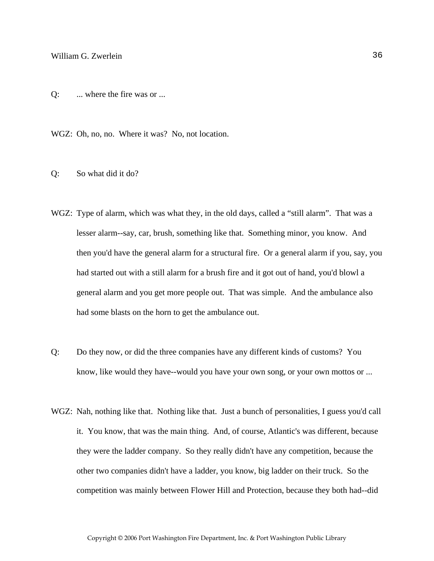Q: ... where the fire was or ...

WGZ: Oh, no, no. Where it was? No, not location.

- Q: So what did it do?
- WGZ: Type of alarm, which was what they, in the old days, called a "still alarm". That was a lesser alarm--say, car, brush, something like that. Something minor, you know. And then you'd have the general alarm for a structural fire. Or a general alarm if you, say, you had started out with a still alarm for a brush fire and it got out of hand, you'd blowl a general alarm and you get more people out. That was simple. And the ambulance also had some blasts on the horn to get the ambulance out.
- Q: Do they now, or did the three companies have any different kinds of customs? You know, like would they have--would you have your own song, or your own mottos or ...
- WGZ: Nah, nothing like that. Nothing like that. Just a bunch of personalities, I guess you'd call it. You know, that was the main thing. And, of course, Atlantic's was different, because they were the ladder company. So they really didn't have any competition, because the other two companies didn't have a ladder, you know, big ladder on their truck. So the competition was mainly between Flower Hill and Protection, because they both had--did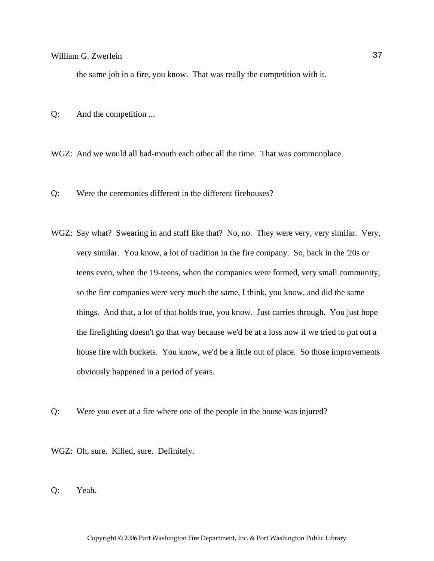the same job in a fire, you know. That was really the competition with it.

Q: And the competition ...

WGZ: And we would all bad-mouth each other all the time. That was commonplace.

- Q: Were the ceremonies different in the different firehouses?
- WGZ: Say what? Swearing in and stuff like that? No, no. They were very, very similar. Very, very similar. You know, a lot of tradition in the fire company. So, back in the '20s or teens even, when the 19-teens, when the companies were formed, very small community, so the fire companies were very much the same, I think, you know, and did the same things. And that, a lot of that holds true, you know. Just carries through. You just hope the firefighting doesn't go that way because we'd be at a loss now if we tried to put out a house fire with buckets. You know, we'd be a little out of place. So those improvements obviously happened in a period of years.
- Q: Were you ever at a fire where one of the people in the house was injured?
- WGZ: Oh, sure. Killed, sure. Definitely.
- Q: Yeah.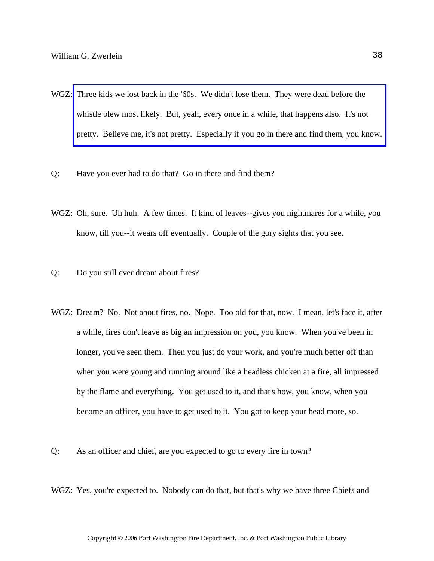- WGZ: Three kids we lost back in the '60s. We didn't lose them. They were dead before the whistle blew most likely. But, yeah, every once in a while, that happens also. It's not [pretty. Believe me, it's not pretty. Especially if you go in there and find them, you know.](http://www.pwfdhistory.com/trans/zwerleinwg_trans/pwfd_fires07.pdf)
- Q: Have you ever had to do that? Go in there and find them?
- WGZ: Oh, sure. Uh huh. A few times. It kind of leaves--gives you nightmares for a while, you know, till you--it wears off eventually. Couple of the gory sights that you see.
- Q: Do you still ever dream about fires?
- WGZ: Dream? No. Not about fires, no. Nope. Too old for that, now. I mean, let's face it, after a while, fires don't leave as big an impression on you, you know. When you've been in longer, you've seen them. Then you just do your work, and you're much better off than when you were young and running around like a headless chicken at a fire, all impressed by the flame and everything. You get used to it, and that's how, you know, when you become an officer, you have to get used to it. You got to keep your head more, so.
- Q: As an officer and chief, are you expected to go to every fire in town?
- WGZ: Yes, you're expected to. Nobody can do that, but that's why we have three Chiefs and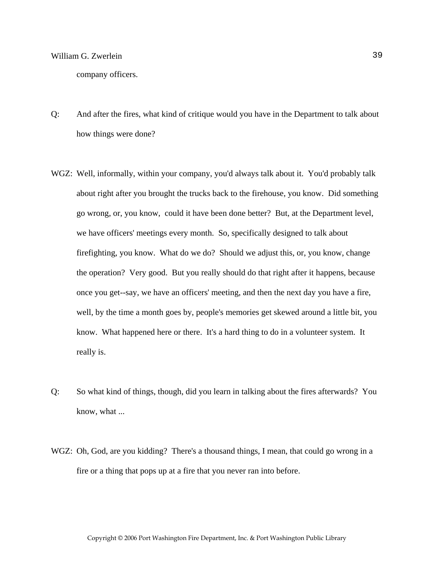company officers.

- Q: And after the fires, what kind of critique would you have in the Department to talk about how things were done?
- WGZ: Well, informally, within your company, you'd always talk about it. You'd probably talk about right after you brought the trucks back to the firehouse, you know. Did something go wrong, or, you know, could it have been done better? But, at the Department level, we have officers' meetings every month. So, specifically designed to talk about firefighting, you know. What do we do? Should we adjust this, or, you know, change the operation? Very good. But you really should do that right after it happens, because once you get--say, we have an officers' meeting, and then the next day you have a fire, well, by the time a month goes by, people's memories get skewed around a little bit, you know. What happened here or there. It's a hard thing to do in a volunteer system. It really is.
- Q: So what kind of things, though, did you learn in talking about the fires afterwards? You know, what ...
- WGZ: Oh, God, are you kidding? There's a thousand things, I mean, that could go wrong in a fire or a thing that pops up at a fire that you never ran into before.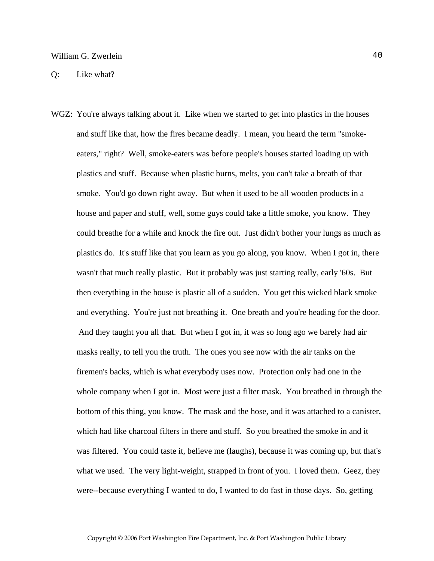WGZ: You're always talking about it. Like when we started to get into plastics in the houses and stuff like that, how the fires became deadly. I mean, you heard the term "smokeeaters," right? Well, smoke-eaters was before people's houses started loading up with plastics and stuff. Because when plastic burns, melts, you can't take a breath of that smoke. You'd go down right away. But when it used to be all wooden products in a house and paper and stuff, well, some guys could take a little smoke, you know. They could breathe for a while and knock the fire out. Just didn't bother your lungs as much as plastics do. It's stuff like that you learn as you go along, you know. When I got in, there wasn't that much really plastic. But it probably was just starting really, early '60s. But then everything in the house is plastic all of a sudden. You get this wicked black smoke and everything. You're just not breathing it. One breath and you're heading for the door. And they taught you all that. But when I got in, it was so long ago we barely had air masks really, to tell you the truth. The ones you see now with the air tanks on the firemen's backs, which is what everybody uses now. Protection only had one in the whole company when I got in. Most were just a filter mask. You breathed in through the bottom of this thing, you know. The mask and the hose, and it was attached to a canister, which had like charcoal filters in there and stuff. So you breathed the smoke in and it was filtered. You could taste it, believe me (laughs), because it was coming up, but that's what we used. The very light-weight, strapped in front of you. I loved them. Geez, they were--because everything I wanted to do, I wanted to do fast in those days. So, getting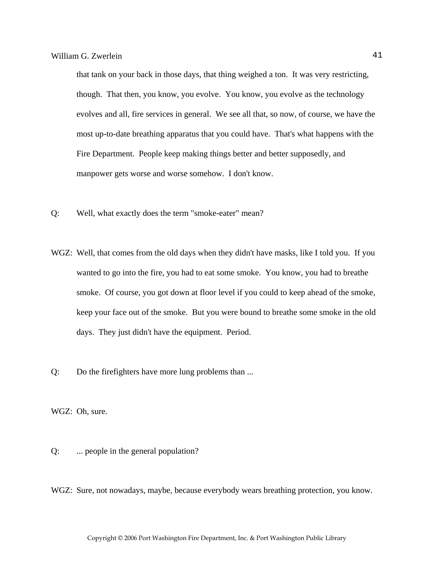that tank on your back in those days, that thing weighed a ton. It was very restricting, though. That then, you know, you evolve. You know, you evolve as the technology evolves and all, fire services in general. We see all that, so now, of course, we have the most up-to-date breathing apparatus that you could have. That's what happens with the Fire Department. People keep making things better and better supposedly, and manpower gets worse and worse somehow. I don't know.

- Q: Well, what exactly does the term "smoke-eater" mean?
- WGZ: Well, that comes from the old days when they didn't have masks, like I told you. If you wanted to go into the fire, you had to eat some smoke. You know, you had to breathe smoke. Of course, you got down at floor level if you could to keep ahead of the smoke, keep your face out of the smoke. But you were bound to breathe some smoke in the old days. They just didn't have the equipment. Period.
- Q: Do the firefighters have more lung problems than ...

WGZ: Oh, sure.

Q: ... people in the general population?

WGZ: Sure, not nowadays, maybe, because everybody wears breathing protection, you know.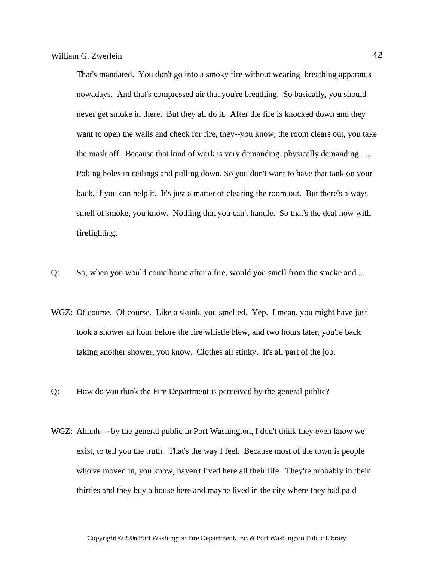That's mandated. You don't go into a smoky fire without wearing breathing apparatus nowadays. And that's compressed air that you're breathing. So basically, you should never get smoke in there. But they all do it. After the fire is knocked down and they want to open the walls and check for fire, they--you know, the room clears out, you take the mask off. Because that kind of work is very demanding, physically demanding. ... Poking holes in ceilings and pulling down. So you don't want to have that tank on your back, if you can help it. It's just a matter of clearing the room out. But there's always smell of smoke, you know. Nothing that you can't handle. So that's the deal now with firefighting.

- Q: So, when you would come home after a fire, would you smell from the smoke and ...
- WGZ: Of course. Of course. Like a skunk, you smelled. Yep. I mean, you might have just took a shower an hour before the fire whistle blew, and two hours later, you're back taking another shower, you know. Clothes all stinky. It's all part of the job.
- Q: How do you think the Fire Department is perceived by the general public?
- WGZ: Ahhhh----by the general public in Port Washington, I don't think they even know we exist, to tell you the truth. That's the way I feel. Because most of the town is people who've moved in, you know, haven't lived here all their life. They're probably in their thirties and they buy a house here and maybe lived in the city where they had paid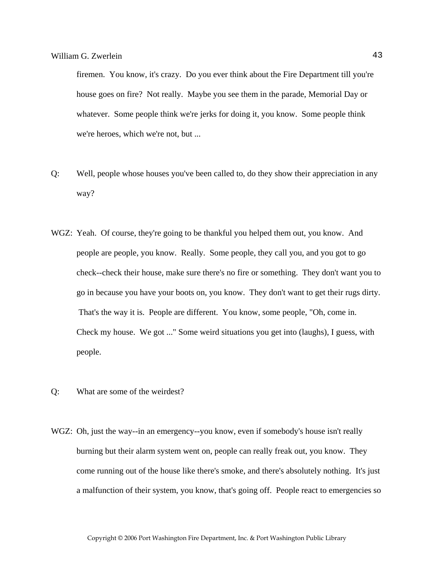firemen. You know, it's crazy. Do you ever think about the Fire Department till you're house goes on fire? Not really. Maybe you see them in the parade, Memorial Day or whatever. Some people think we're jerks for doing it, you know. Some people think we're heroes, which we're not, but ...

- Q: Well, people whose houses you've been called to, do they show their appreciation in any way?
- WGZ: Yeah. Of course, they're going to be thankful you helped them out, you know. And people are people, you know. Really. Some people, they call you, and you got to go check--check their house, make sure there's no fire or something. They don't want you to go in because you have your boots on, you know. They don't want to get their rugs dirty. That's the way it is. People are different. You know, some people, "Oh, come in. Check my house. We got ..." Some weird situations you get into (laughs), I guess, with people.
- Q: What are some of the weirdest?
- WGZ: Oh, just the way--in an emergency--you know, even if somebody's house isn't really burning but their alarm system went on, people can really freak out, you know. They come running out of the house like there's smoke, and there's absolutely nothing. It's just a malfunction of their system, you know, that's going off. People react to emergencies so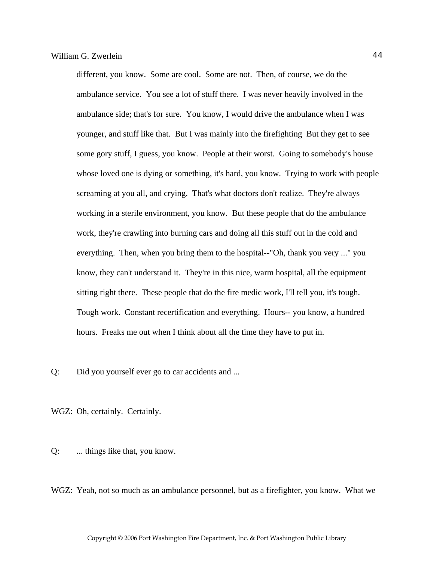different, you know. Some are cool. Some are not. Then, of course, we do the ambulance service. You see a lot of stuff there. I was never heavily involved in the ambulance side; that's for sure. You know, I would drive the ambulance when I was younger, and stuff like that. But I was mainly into the firefighting But they get to see some gory stuff, I guess, you know. People at their worst. Going to somebody's house whose loved one is dying or something, it's hard, you know. Trying to work with people screaming at you all, and crying. That's what doctors don't realize. They're always working in a sterile environment, you know. But these people that do the ambulance work, they're crawling into burning cars and doing all this stuff out in the cold and everything. Then, when you bring them to the hospital--"Oh, thank you very ..." you know, they can't understand it. They're in this nice, warm hospital, all the equipment sitting right there. These people that do the fire medic work, I'll tell you, it's tough. Tough work. Constant recertification and everything. Hours-- you know, a hundred hours. Freaks me out when I think about all the time they have to put in.

Q: Did you yourself ever go to car accidents and ...

WGZ: Oh, certainly. Certainly.

Q: ... things like that, you know.

WGZ: Yeah, not so much as an ambulance personnel, but as a firefighter, you know. What we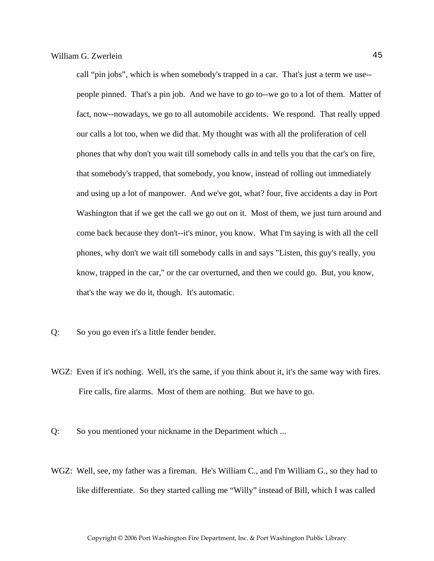call "pin jobs", which is when somebody's trapped in a car. That's just a term we use- people pinned. That's a pin job. And we have to go to--we go to a lot of them. Matter of fact, now--nowadays, we go to all automobile accidents. We respond. That really upped our calls a lot too, when we did that. My thought was with all the proliferation of cell phones that why don't you wait till somebody calls in and tells you that the car's on fire, that somebody's trapped, that somebody, you know, instead of rolling out immediately and using up a lot of manpower. And we've got, what? four, five accidents a day in Port Washington that if we get the call we go out on it. Most of them, we just turn around and come back because they don't--it's minor, you know. What I'm saying is with all the cell phones, why don't we wait till somebody calls in and says "Listen, this guy's really, you know, trapped in the car," or the car overturned, and then we could go. But, you know, that's the way we do it, though. It's automatic.

- Q: So you go even it's a little fender bender.
- WGZ: Even if it's nothing. Well, it's the same, if you think about it, it's the same way with fires. Fire calls, fire alarms. Most of them are nothing. But we have to go.

Q: So you mentioned your nickname in the Department which ...

WGZ: Well, see, my father was a fireman. He's William C., and I'm William G., so they had to like differentiate. So they started calling me "Willy" instead of Bill, which I was called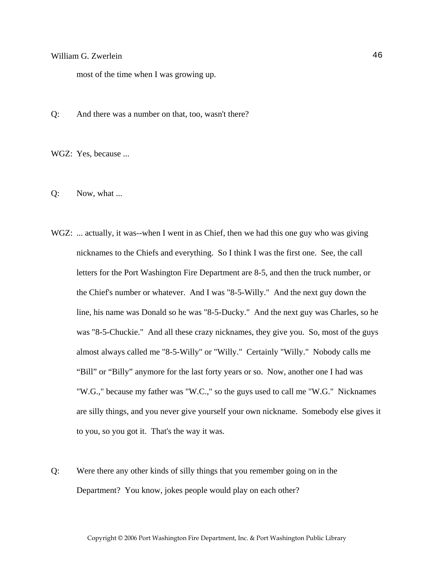most of the time when I was growing up.

Q: And there was a number on that, too, wasn't there?

WGZ: Yes, because ...

- Q: Now, what ...
- WGZ: ... actually, it was--when I went in as Chief, then we had this one guy who was giving nicknames to the Chiefs and everything. So I think I was the first one. See, the call letters for the Port Washington Fire Department are 8-5, and then the truck number, or the Chief's number or whatever. And I was "8-5-Willy." And the next guy down the line, his name was Donald so he was "8-5-Ducky." And the next guy was Charles, so he was "8-5-Chuckie." And all these crazy nicknames, they give you. So, most of the guys almost always called me "8-5-Willy" or "Willy." Certainly "Willy." Nobody calls me "Bill" or "Billy" anymore for the last forty years or so. Now, another one I had was "W.G.," because my father was "W.C.," so the guys used to call me "W.G." Nicknames are silly things, and you never give yourself your own nickname. Somebody else gives it to you, so you got it. That's the way it was.
- Q: Were there any other kinds of silly things that you remember going on in the Department? You know, jokes people would play on each other?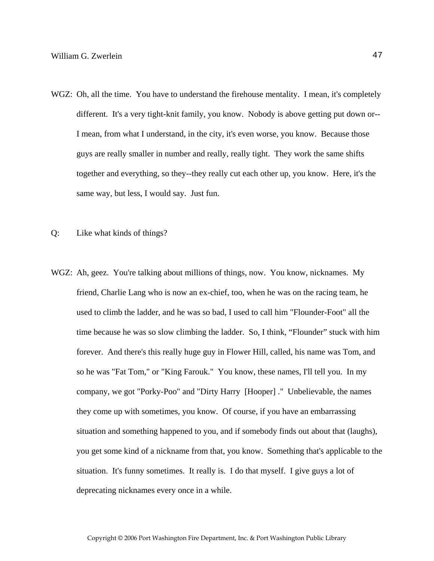- WGZ: Oh, all the time. You have to understand the firehouse mentality. I mean, it's completely different. It's a very tight-knit family, you know. Nobody is above getting put down or-- I mean, from what I understand, in the city, it's even worse, you know. Because those guys are really smaller in number and really, really tight. They work the same shifts together and everything, so they--they really cut each other up, you know. Here, it's the same way, but less, I would say. Just fun.
- Q: Like what kinds of things?
- WGZ: Ah, geez. You're talking about millions of things, now. You know, nicknames. My friend, Charlie Lang who is now an ex-chief, too, when he was on the racing team, he used to climb the ladder, and he was so bad, I used to call him "Flounder-Foot" all the time because he was so slow climbing the ladder. So, I think, "Flounder" stuck with him forever. And there's this really huge guy in Flower Hill, called, his name was Tom, and so he was "Fat Tom," or "King Farouk." You know, these names, I'll tell you. In my company, we got "Porky-Poo" and "Dirty Harry [Hooper] ." Unbelievable, the names they come up with sometimes, you know. Of course, if you have an embarrassing situation and something happened to you, and if somebody finds out about that (laughs), you get some kind of a nickname from that, you know. Something that's applicable to the situation. It's funny sometimes. It really is. I do that myself. I give guys a lot of deprecating nicknames every once in a while.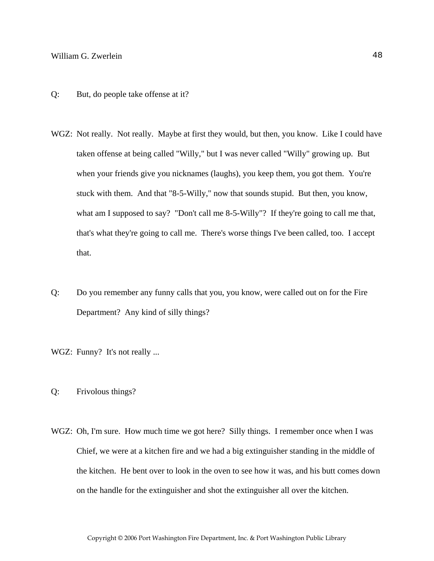- Q: But, do people take offense at it?
- WGZ: Not really. Not really. Maybe at first they would, but then, you know. Like I could have taken offense at being called "Willy," but I was never called "Willy" growing up. But when your friends give you nicknames (laughs), you keep them, you got them. You're stuck with them. And that "8-5-Willy," now that sounds stupid. But then, you know, what am I supposed to say? "Don't call me 8-5-Willy"? If they're going to call me that, that's what they're going to call me. There's worse things I've been called, too. I accept that.
- Q: Do you remember any funny calls that you, you know, were called out on for the Fire Department? Any kind of silly things?
- WGZ: Funny? It's not really ...
- Q: Frivolous things?
- WGZ: Oh, I'm sure. How much time we got here? Silly things. I remember once when I was Chief, we were at a kitchen fire and we had a big extinguisher standing in the middle of the kitchen. He bent over to look in the oven to see how it was, and his butt comes down on the handle for the extinguisher and shot the extinguisher all over the kitchen.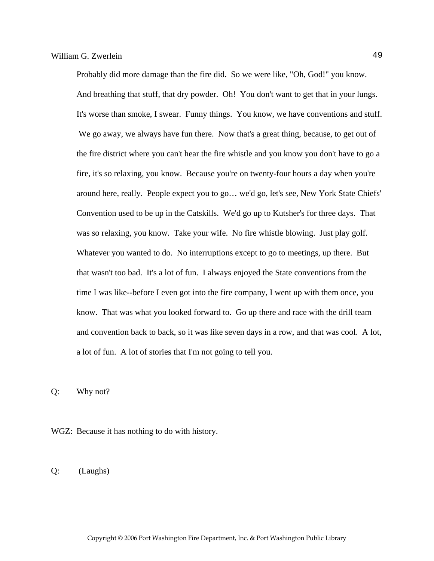Probably did more damage than the fire did. So we were like, "Oh, God!" you know. And breathing that stuff, that dry powder. Oh! You don't want to get that in your lungs. It's worse than smoke, I swear. Funny things. You know, we have conventions and stuff. We go away, we always have fun there. Now that's a great thing, because, to get out of the fire district where you can't hear the fire whistle and you know you don't have to go a fire, it's so relaxing, you know. Because you're on twenty-four hours a day when you're around here, really. People expect you to go… we'd go, let's see, New York State Chiefs' Convention used to be up in the Catskills. We'd go up to Kutsher's for three days. That was so relaxing, you know. Take your wife. No fire whistle blowing. Just play golf. Whatever you wanted to do. No interruptions except to go to meetings, up there. But that wasn't too bad. It's a lot of fun. I always enjoyed the State conventions from the time I was like--before I even got into the fire company, I went up with them once, you know. That was what you looked forward to. Go up there and race with the drill team and convention back to back, so it was like seven days in a row, and that was cool. A lot, a lot of fun. A lot of stories that I'm not going to tell you.

Q: Why not?

WGZ: Because it has nothing to do with history.

Q: (Laughs)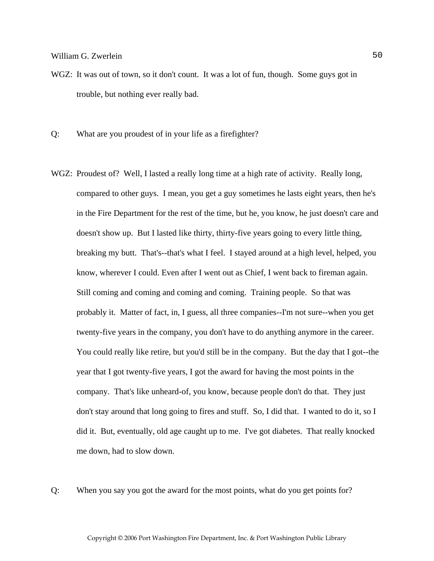- WGZ: It was out of town, so it don't count. It was a lot of fun, though. Some guys got in trouble, but nothing ever really bad.
- Q: What are you proudest of in your life as a firefighter?
- WGZ: Proudest of? Well, I lasted a really long time at a high rate of activity. Really long, compared to other guys. I mean, you get a guy sometimes he lasts eight years, then he's in the Fire Department for the rest of the time, but he, you know, he just doesn't care and doesn't show up. But I lasted like thirty, thirty-five years going to every little thing, breaking my butt. That's--that's what I feel. I stayed around at a high level, helped, you know, wherever I could. Even after I went out as Chief, I went back to fireman again. Still coming and coming and coming and coming. Training people. So that was probably it. Matter of fact, in, I guess, all three companies--I'm not sure--when you get twenty-five years in the company, you don't have to do anything anymore in the career. You could really like retire, but you'd still be in the company. But the day that I got--the year that I got twenty-five years, I got the award for having the most points in the company. That's like unheard-of, you know, because people don't do that. They just don't stay around that long going to fires and stuff. So, I did that. I wanted to do it, so I did it. But, eventually, old age caught up to me. I've got diabetes. That really knocked me down, had to slow down.

Q: When you say you got the award for the most points, what do you get points for?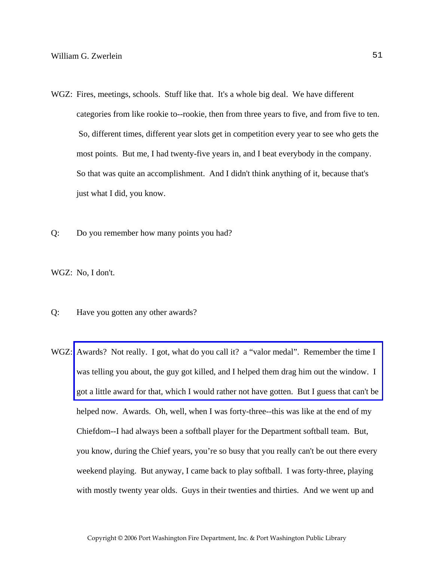- WGZ: Fires, meetings, schools. Stuff like that. It's a whole big deal. We have different categories from like rookie to--rookie, then from three years to five, and from five to ten. So, different times, different year slots get in competition every year to see who gets the most points. But me, I had twenty-five years in, and I beat everybody in the company. So that was quite an accomplishment. And I didn't think anything of it, because that's just what I did, you know.
- Q: Do you remember how many points you had?

WGZ: No, I don't.

- Q: Have you gotten any other awards?
- WGZ: Awards? Not really. I got, what do you call it? a "valor medal". Remember the time I was telling you about, the guy got killed, and I helped them drag him out the window. I [got a little award for that, which I would rather not have gotten. But I guess that can't be](http://www.pwfdhistory.com/trans/zwerleinwg_trans/pnews890427_pz.pdf)  helped now. Awards. Oh, well, when I was forty-three--this was like at the end of my Chiefdom--I had always been a softball player for the Department softball team. But, you know, during the Chief years, you're so busy that you really can't be out there every weekend playing. But anyway, I came back to play softball. I was forty-three, playing with mostly twenty year olds. Guys in their twenties and thirties. And we went up and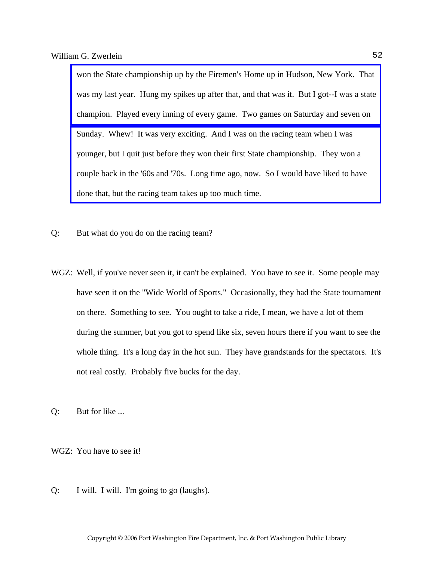won the State championship up by the Firemen's Home up in Hudson, New York. That [was my last year. Hung my spikes up after that, and that was it. But I got--I was a state](http://www.pwfdhistory.com/trans/zwerleinwg_trans/pnewsnyschamps1987_pz.pdf)  champion. Played every inning of every game. Two games on Saturday and seven on Sunday. Whew! It was very exciting. And I was on the racing team when I was younger, but I quit just before they won their first State championship. They won a [couple back in the '60s and '70s. Long time ago, now. So I would have liked to have](http://www.pwfdhistory.com/trans/zwerleinwg_trans/peco_racing14a_web.jpg)  done that, but the racing team takes up too much time.

- Q: But what do you do on the racing team?
- WGZ: Well, if you've never seen it, it can't be explained. You have to see it. Some people may have seen it on the "Wide World of Sports." Occasionally, they had the State tournament on there. Something to see. You ought to take a ride, I mean, we have a lot of them during the summer, but you got to spend like six, seven hours there if you want to see the whole thing. It's a long day in the hot sun. They have grandstands for the spectators. It's not real costly. Probably five bucks for the day.

Q: But for like ...

WGZ: You have to see it!

Q: I will. I will. I'm going to go (laughs).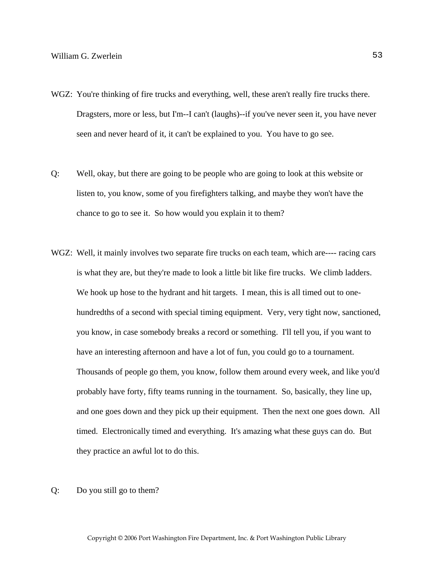- WGZ: You're thinking of fire trucks and everything, well, these aren't really fire trucks there. Dragsters, more or less, but I'm--I can't (laughs)--if you've never seen it, you have never seen and never heard of it, it can't be explained to you. You have to go see.
- Q: Well, okay, but there are going to be people who are going to look at this website or listen to, you know, some of you firefighters talking, and maybe they won't have the chance to go to see it. So how would you explain it to them?
- WGZ: Well, it mainly involves two separate fire trucks on each team, which are---- racing cars is what they are, but they're made to look a little bit like fire trucks. We climb ladders. We hook up hose to the hydrant and hit targets. I mean, this is all timed out to onehundredths of a second with special timing equipment. Very, very tight now, sanctioned, you know, in case somebody breaks a record or something. I'll tell you, if you want to have an interesting afternoon and have a lot of fun, you could go to a tournament. Thousands of people go them, you know, follow them around every week, and like you'd probably have forty, fifty teams running in the tournament. So, basically, they line up, and one goes down and they pick up their equipment. Then the next one goes down. All timed. Electronically timed and everything. It's amazing what these guys can do. But they practice an awful lot to do this.
- Q: Do you still go to them?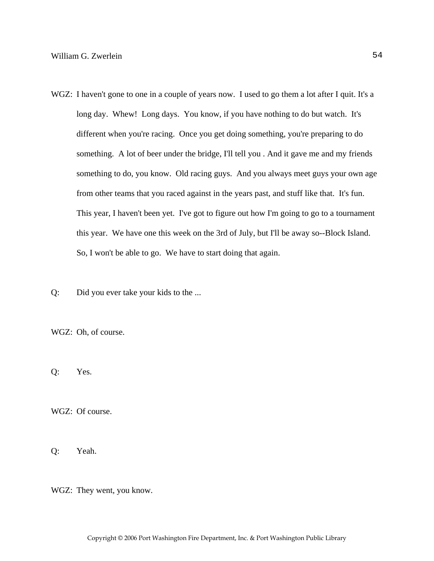- WGZ: I haven't gone to one in a couple of years now. I used to go them a lot after I quit. It's a long day. Whew! Long days. You know, if you have nothing to do but watch. It's different when you're racing. Once you get doing something, you're preparing to do something. A lot of beer under the bridge, I'll tell you . And it gave me and my friends something to do, you know. Old racing guys. And you always meet guys your own age from other teams that you raced against in the years past, and stuff like that. It's fun. This year, I haven't been yet. I've got to figure out how I'm going to go to a tournament this year. We have one this week on the 3rd of July, but I'll be away so--Block Island. So, I won't be able to go. We have to start doing that again.
- Q: Did you ever take your kids to the ...

WGZ: Oh, of course.

Q: Yes.

WGZ: Of course.

Q: Yeah.

WGZ: They went, you know.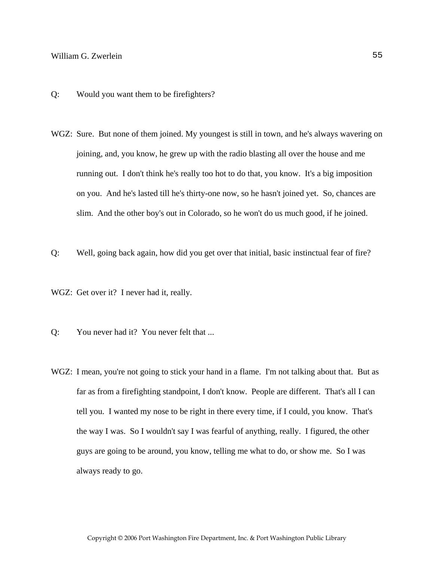- Q: Would you want them to be firefighters?
- WGZ: Sure. But none of them joined. My youngest is still in town, and he's always wavering on joining, and, you know, he grew up with the radio blasting all over the house and me running out. I don't think he's really too hot to do that, you know. It's a big imposition on you. And he's lasted till he's thirty-one now, so he hasn't joined yet. So, chances are slim. And the other boy's out in Colorado, so he won't do us much good, if he joined.
- Q: Well, going back again, how did you get over that initial, basic instinctual fear of fire?
- WGZ: Get over it? I never had it, really.
- Q: You never had it? You never felt that ...
- WGZ: I mean, you're not going to stick your hand in a flame. I'm not talking about that. But as far as from a firefighting standpoint, I don't know. People are different. That's all I can tell you. I wanted my nose to be right in there every time, if I could, you know. That's the way I was. So I wouldn't say I was fearful of anything, really. I figured, the other guys are going to be around, you know, telling me what to do, or show me. So I was always ready to go.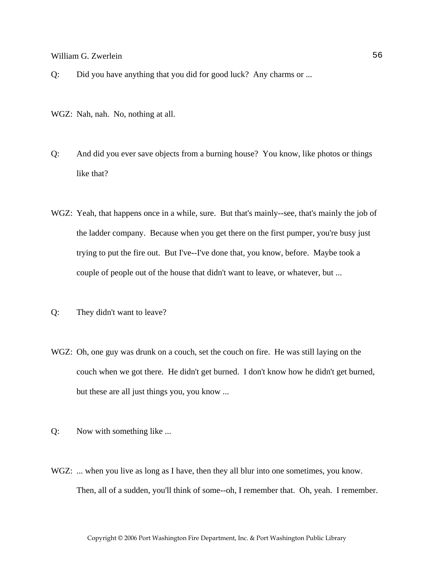Q: Did you have anything that you did for good luck? Any charms or ...

- WGZ: Nah, nah. No, nothing at all.
- Q: And did you ever save objects from a burning house? You know, like photos or things like that?
- WGZ: Yeah, that happens once in a while, sure. But that's mainly--see, that's mainly the job of the ladder company. Because when you get there on the first pumper, you're busy just trying to put the fire out. But I've--I've done that, you know, before. Maybe took a couple of people out of the house that didn't want to leave, or whatever, but ...
- Q: They didn't want to leave?
- WGZ: Oh, one guy was drunk on a couch, set the couch on fire. He was still laying on the couch when we got there. He didn't get burned. I don't know how he didn't get burned, but these are all just things you, you know ...
- Q: Now with something like ...
- WGZ: ... when you live as long as I have, then they all blur into one sometimes, you know. Then, all of a sudden, you'll think of some--oh, I remember that. Oh, yeah. I remember.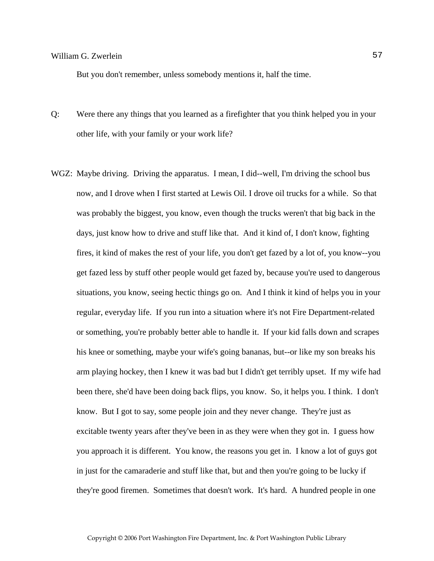But you don't remember, unless somebody mentions it, half the time.

- Q: Were there any things that you learned as a firefighter that you think helped you in your other life, with your family or your work life?
- WGZ: Maybe driving. Driving the apparatus. I mean, I did--well, I'm driving the school bus now, and I drove when I first started at Lewis Oil. I drove oil trucks for a while. So that was probably the biggest, you know, even though the trucks weren't that big back in the days, just know how to drive and stuff like that. And it kind of, I don't know, fighting fires, it kind of makes the rest of your life, you don't get fazed by a lot of, you know--you get fazed less by stuff other people would get fazed by, because you're used to dangerous situations, you know, seeing hectic things go on. And I think it kind of helps you in your regular, everyday life. If you run into a situation where it's not Fire Department-related or something, you're probably better able to handle it. If your kid falls down and scrapes his knee or something, maybe your wife's going bananas, but--or like my son breaks his arm playing hockey, then I knew it was bad but I didn't get terribly upset. If my wife had been there, she'd have been doing back flips, you know. So, it helps you. I think. I don't know. But I got to say, some people join and they never change. They're just as excitable twenty years after they've been in as they were when they got in. I guess how you approach it is different. You know, the reasons you get in. I know a lot of guys got in just for the camaraderie and stuff like that, but and then you're going to be lucky if they're good firemen. Sometimes that doesn't work. It's hard. A hundred people in one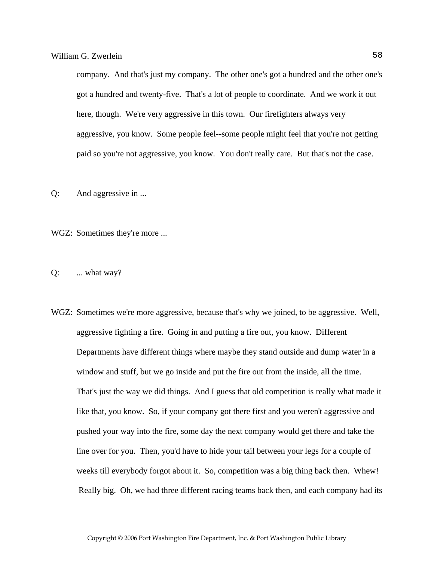company. And that's just my company. The other one's got a hundred and the other one's got a hundred and twenty-five. That's a lot of people to coordinate. And we work it out here, though. We're very aggressive in this town. Our firefighters always very aggressive, you know. Some people feel--some people might feel that you're not getting paid so you're not aggressive, you know. You don't really care. But that's not the case.

Q: And aggressive in ...

WGZ: Sometimes they're more ...

Q: ... what way?

WGZ: Sometimes we're more aggressive, because that's why we joined, to be aggressive. Well, aggressive fighting a fire. Going in and putting a fire out, you know. Different Departments have different things where maybe they stand outside and dump water in a window and stuff, but we go inside and put the fire out from the inside, all the time. That's just the way we did things. And I guess that old competition is really what made it like that, you know. So, if your company got there first and you weren't aggressive and pushed your way into the fire, some day the next company would get there and take the line over for you. Then, you'd have to hide your tail between your legs for a couple of weeks till everybody forgot about it. So, competition was a big thing back then. Whew! Really big. Oh, we had three different racing teams back then, and each company had its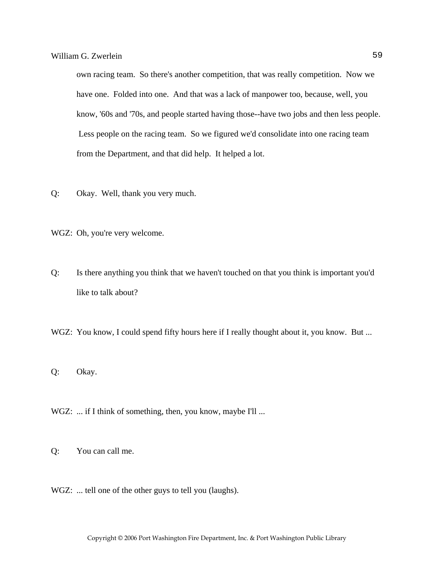own racing team. So there's another competition, that was really competition. Now we have one. Folded into one. And that was a lack of manpower too, because, well, you know, '60s and '70s, and people started having those--have two jobs and then less people. Less people on the racing team. So we figured we'd consolidate into one racing team from the Department, and that did help. It helped a lot.

- Q: Okay. Well, thank you very much.
- WGZ: Oh, you're very welcome.
- Q: Is there anything you think that we haven't touched on that you think is important you'd like to talk about?
- WGZ: You know, I could spend fifty hours here if I really thought about it, you know. But ...
- Q: Okay.
- WGZ: ... if I think of something, then, you know, maybe I'll ...
- Q: You can call me.
- WGZ: ... tell one of the other guys to tell you (laughs).